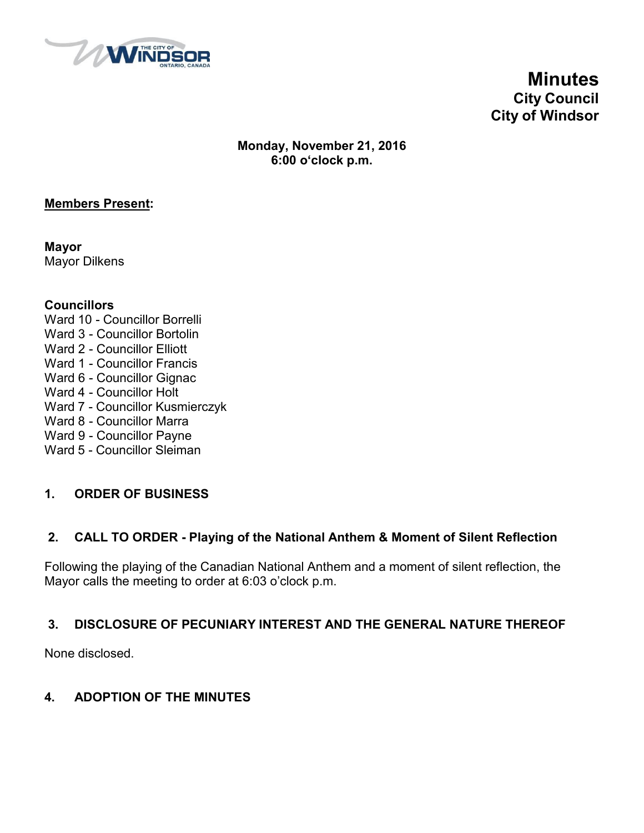

**Minutes City Council City of Windsor**

**Monday, November 21, 2016 6:00 o'clock p.m.**

# **Members Present:**

**Mayor** Mayor Dilkens

# **Councillors**

- Ward 10 Councillor Borrelli
- Ward 3 Councillor Bortolin
- Ward 2 Councillor Elliott
- Ward 1 Councillor Francis
- Ward 6 Councillor Gignac
- Ward 4 Councillor Holt
- Ward 7 Councillor Kusmierczyk
- Ward 8 Councillor Marra
- Ward 9 Councillor Payne
- Ward 5 Councillor Sleiman

# **1. ORDER OF BUSINESS**

# **2. CALL TO ORDER - Playing of the National Anthem & Moment of Silent Reflection**

Following the playing of the Canadian National Anthem and a moment of silent reflection, the Mayor calls the meeting to order at 6:03 o'clock p.m.

# **3. DISCLOSURE OF PECUNIARY INTEREST AND THE GENERAL NATURE THEREOF**

None disclosed.

# **4. ADOPTION OF THE MINUTES**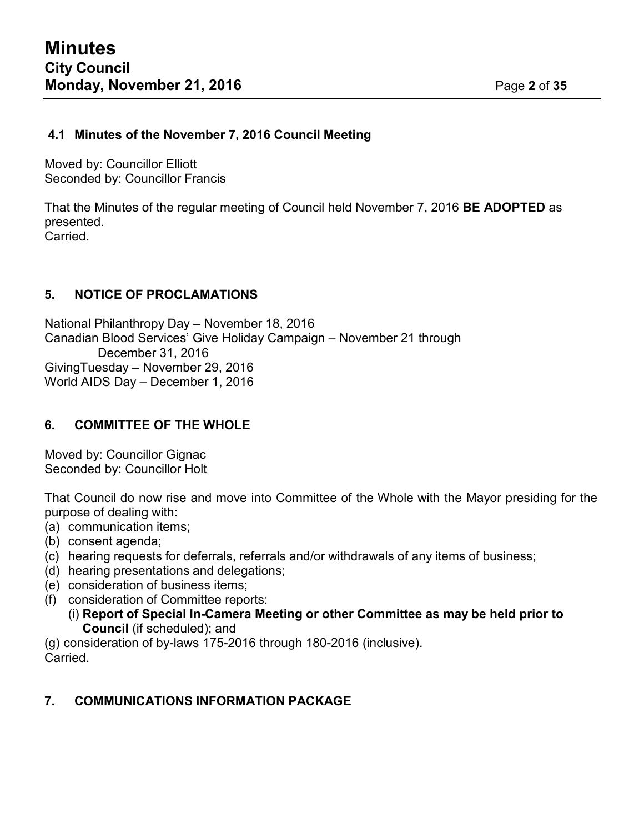# **4.1 Minutes of the November 7, 2016 Council Meeting**

Moved by: Councillor Elliott Seconded by: Councillor Francis

That the Minutes of the regular meeting of Council held November 7, 2016 **BE ADOPTED** as presented. Carried.

# **5. NOTICE OF PROCLAMATIONS**

National Philanthropy Day – November 18, 2016 Canadian Blood Services' Give Holiday Campaign – November 21 through December 31, 2016 GivingTuesday – November 29, 2016 World AIDS Day – December 1, 2016

# **6. COMMITTEE OF THE WHOLE**

Moved by: Councillor Gignac Seconded by: Councillor Holt

That Council do now rise and move into Committee of the Whole with the Mayor presiding for the purpose of dealing with:

- (a) communication items;
- (b) consent agenda;
- (c) hearing requests for deferrals, referrals and/or withdrawals of any items of business;
- (d) hearing presentations and delegations;
- (e) consideration of business items;
- (f) consideration of Committee reports:
	- (i) **Report of Special In-Camera Meeting or other Committee as may be held prior to Council** (if scheduled); and

(g) consideration of by-laws 175-2016 through 180-2016 (inclusive). Carried.

# **7. COMMUNICATIONS INFORMATION PACKAGE**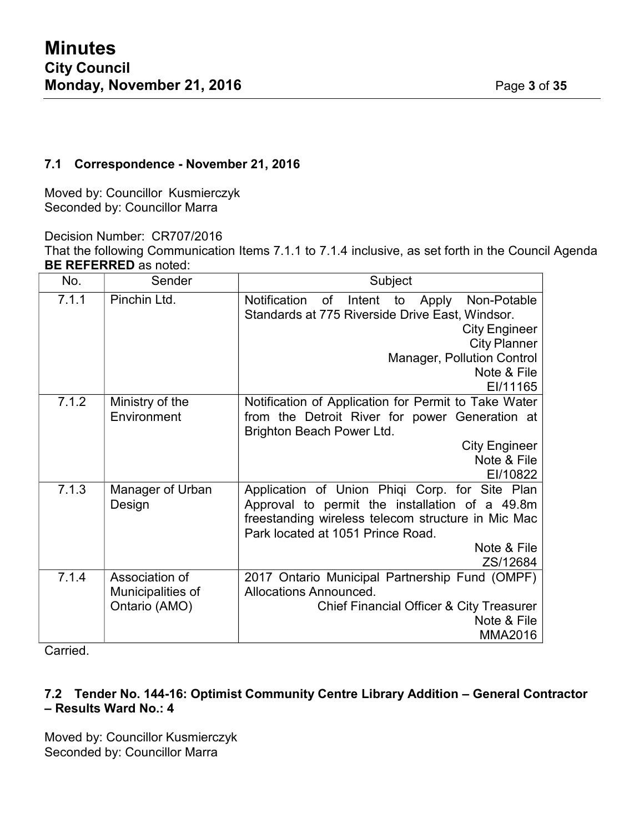# **7.1 Correspondence - November 21, 2016**

Moved by: Councillor Kusmierczyk Seconded by: Councillor Marra

Decision Number: CR707/2016

That the following Communication Items 7.1.1 to 7.1.4 inclusive, as set forth in the Council Agenda **BE REFERRED** as noted:

| No.   | Sender                                               | Subject                                                                                                                                                                                     |  |  |
|-------|------------------------------------------------------|---------------------------------------------------------------------------------------------------------------------------------------------------------------------------------------------|--|--|
| 7.1.1 | Pinchin Ltd.                                         | Notification of<br>Intent<br>Apply Non-Potable<br>to<br>Standards at 775 Riverside Drive East, Windsor.<br><b>City Engineer</b><br><b>City Planner</b>                                      |  |  |
|       |                                                      | <b>Manager, Pollution Control</b><br>Note & File<br>EI/11165                                                                                                                                |  |  |
| 7.1.2 | Ministry of the<br>Environment                       | Notification of Application for Permit to Take Water<br>from the Detroit River for power Generation at<br>Brighton Beach Power Ltd.                                                         |  |  |
|       |                                                      | <b>City Engineer</b><br>Note & File<br>EI/10822                                                                                                                                             |  |  |
| 7.1.3 | Manager of Urban<br>Design                           | Application of Union Phiqi Corp. for Site Plan<br>Approval to permit the installation of a 49.8m<br>freestanding wireless telecom structure in Mic Mac<br>Park located at 1051 Prince Road. |  |  |
|       |                                                      | Note & File<br>ZS/12684                                                                                                                                                                     |  |  |
| 7.1.4 | Association of<br>Municipalities of<br>Ontario (AMO) | 2017 Ontario Municipal Partnership Fund (OMPF)<br><b>Allocations Announced.</b><br>Chief Financial Officer & City Treasurer<br>Note & File<br><b>MMA2016</b>                                |  |  |

Carried.

# **7.2 Tender No. 144-16: Optimist Community Centre Library Addition – General Contractor – Results Ward No.: 4**

Moved by: Councillor Kusmierczyk Seconded by: Councillor Marra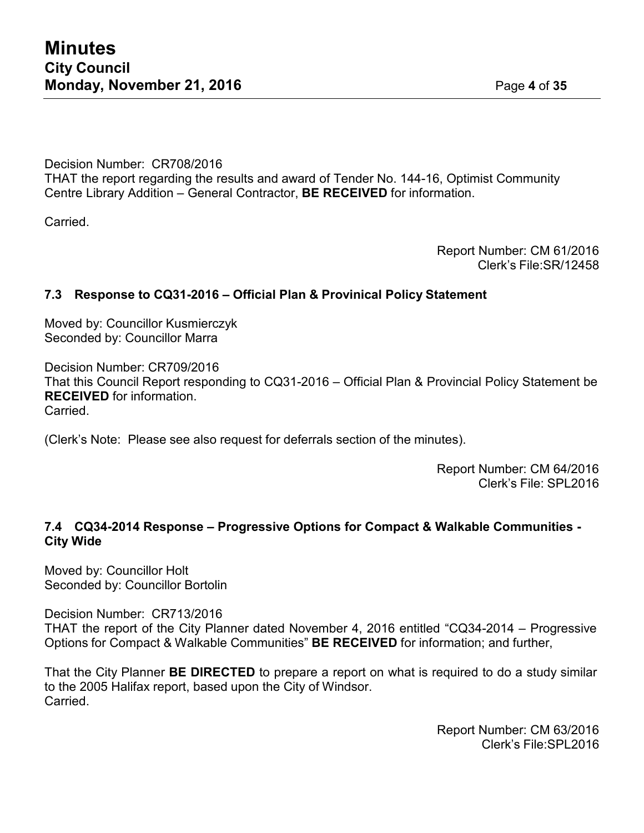Decision Number: CR708/2016 THAT the report regarding the results and award of Tender No. 144-16, Optimist Community Centre Library Addition – General Contractor, **BE RECEIVED** for information.

Carried.

Report Number: CM 61/2016 Clerk's File:SR/12458

# **7.3 Response to CQ31-2016 – Official Plan & Provinical Policy Statement**

Moved by: Councillor Kusmierczyk Seconded by: Councillor Marra

Decision Number: CR709/2016 That this Council Report responding to CQ31-2016 – Official Plan & Provincial Policy Statement be **RECEIVED** for information. **Carried** 

(Clerk's Note: Please see also request for deferrals section of the minutes).

Report Number: CM 64/2016 Clerk's File: SPL2016

# **7.4 CQ34-2014 Response – Progressive Options for Compact & Walkable Communities - City Wide**

Moved by: Councillor Holt Seconded by: Councillor Bortolin

Decision Number: CR713/2016

THAT the report of the City Planner dated November 4, 2016 entitled "CQ34-2014 – Progressive Options for Compact & Walkable Communities" **BE RECEIVED** for information; and further,

That the City Planner **BE DIRECTED** to prepare a report on what is required to do a study similar to the 2005 Halifax report, based upon the City of Windsor. Carried.

> Report Number: CM 63/2016 Clerk's File:SPL2016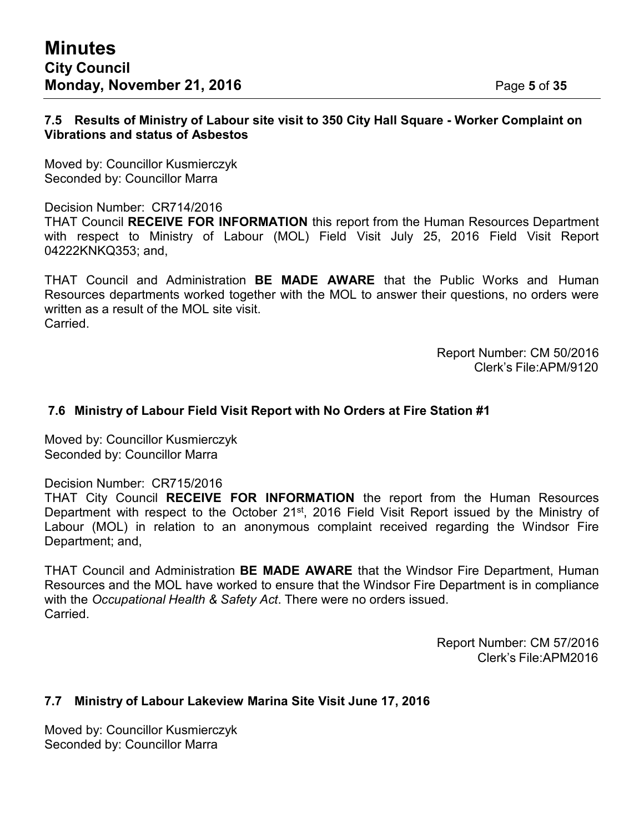# **7.5 Results of Ministry of Labour site visit to 350 City Hall Square - Worker Complaint on Vibrations and status of Asbestos**

Moved by: Councillor Kusmierczyk Seconded by: Councillor Marra

Decision Number: CR714/2016

THAT Council **RECEIVE FOR INFORMATION** this report from the Human Resources Department with respect to Ministry of Labour (MOL) Field Visit July 25, 2016 Field Visit Report 04222KNKQ353; and,

THAT Council and Administration **BE MADE AWARE** that the Public Works and Human Resources departments worked together with the MOL to answer their questions, no orders were written as a result of the MOL site visit. Carried.

> Report Number: CM 50/2016 Clerk's File:APM/9120

# **7.6 Ministry of Labour Field Visit Report with No Orders at Fire Station #1**

Moved by: Councillor Kusmierczyk Seconded by: Councillor Marra

Decision Number: CR715/2016

THAT City Council **RECEIVE FOR INFORMATION** the report from the Human Resources Department with respect to the October 21<sup>st</sup>, 2016 Field Visit Report issued by the Ministry of Labour (MOL) in relation to an anonymous complaint received regarding the Windsor Fire Department; and,

THAT Council and Administration **BE MADE AWARE** that the Windsor Fire Department, Human Resources and the MOL have worked to ensure that the Windsor Fire Department is in compliance with the *Occupational Health & Safety Act*. There were no orders issued. Carried.

> Report Number: CM 57/2016 Clerk's File:APM2016

# **7.7 Ministry of Labour Lakeview Marina Site Visit June 17, 2016**

Moved by: Councillor Kusmierczyk Seconded by: Councillor Marra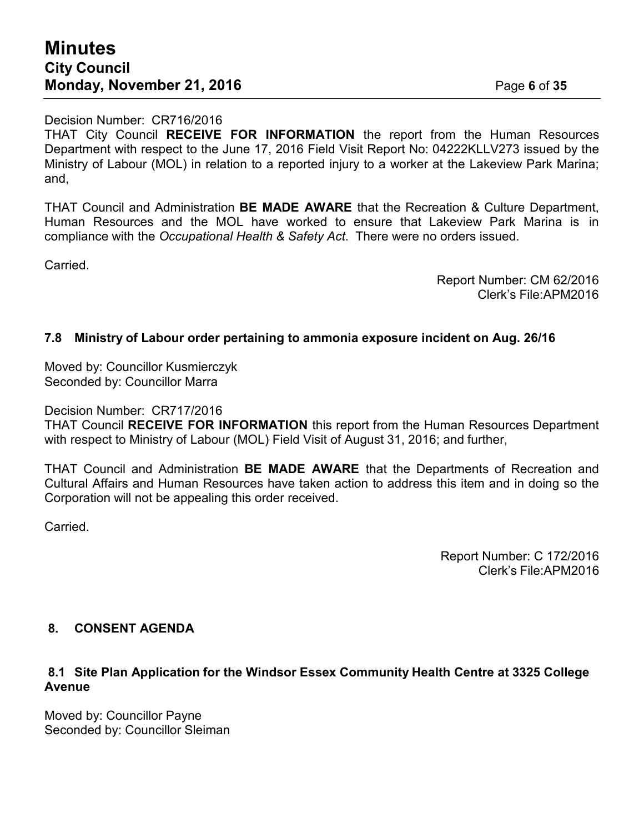# **Minutes City Council Monday, November 21, 2016 Page 6** of 35

# Decision Number: CR716/2016

THAT City Council **RECEIVE FOR INFORMATION** the report from the Human Resources Department with respect to the June 17, 2016 Field Visit Report No: 04222KLLV273 issued by the Ministry of Labour (MOL) in relation to a reported injury to a worker at the Lakeview Park Marina; and,

THAT Council and Administration **BE MADE AWARE** that the Recreation & Culture Department, Human Resources and the MOL have worked to ensure that Lakeview Park Marina is in compliance with the *Occupational Health & Safety Act*. There were no orders issued.

Carried.

Report Number: CM 62/2016 Clerk's File:APM2016

# **7.8 Ministry of Labour order pertaining to ammonia exposure incident on Aug. 26/16**

Moved by: Councillor Kusmierczyk Seconded by: Councillor Marra

Decision Number: CR717/2016

THAT Council **RECEIVE FOR INFORMATION** this report from the Human Resources Department with respect to Ministry of Labour (MOL) Field Visit of August 31, 2016; and further,

THAT Council and Administration **BE MADE AWARE** that the Departments of Recreation and Cultural Affairs and Human Resources have taken action to address this item and in doing so the Corporation will not be appealing this order received.

Carried.

Report Number: C 172/2016 Clerk's File:APM2016

# **8. CONSENT AGENDA**

# **8.1 Site Plan Application for the Windsor Essex Community Health Centre at 3325 College Avenue**

Moved by: Councillor Payne Seconded by: Councillor Sleiman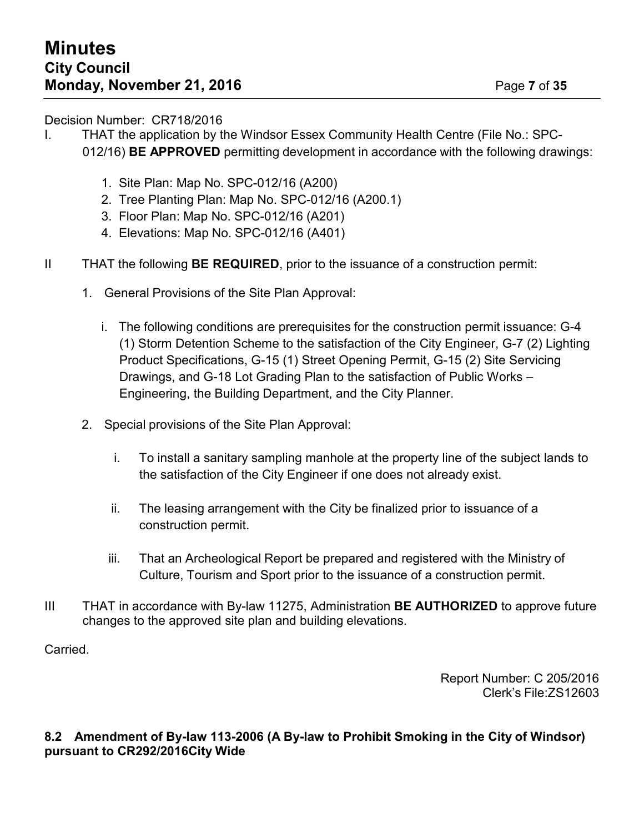Decision Number: CR718/2016

- I. THAT the application by the Windsor Essex Community Health Centre (File No.: SPC-012/16) **BE APPROVED** permitting development in accordance with the following drawings:
	- 1. Site Plan: Map No. SPC-012/16 (A200)
	- 2. Tree Planting Plan: Map No. SPC-012/16 (A200.1)
	- 3. Floor Plan: Map No. SPC-012/16 (A201)
	- 4. Elevations: Map No. SPC-012/16 (A401)
- II THAT the following **BE REQUIRED**, prior to the issuance of a construction permit:
	- 1. General Provisions of the Site Plan Approval:
		- i. The following conditions are prerequisites for the construction permit issuance: G-4 (1) Storm Detention Scheme to the satisfaction of the City Engineer, G-7 (2) Lighting Product Specifications, G-15 (1) Street Opening Permit, G-15 (2) Site Servicing Drawings, and G-18 Lot Grading Plan to the satisfaction of Public Works – Engineering, the Building Department, and the City Planner.
	- 2. Special provisions of the Site Plan Approval:
		- i. To install a sanitary sampling manhole at the property line of the subject lands to the satisfaction of the City Engineer if one does not already exist.
		- ii. The leasing arrangement with the City be finalized prior to issuance of a construction permit.
		- iii. That an Archeological Report be prepared and registered with the Ministry of Culture, Tourism and Sport prior to the issuance of a construction permit.
- III THAT in accordance with By-law 11275, Administration **BE AUTHORIZED** to approve future changes to the approved site plan and building elevations.

Carried.

Report Number: C 205/2016 Clerk's File:ZS12603

# **8.2 Amendment of By-law 113-2006 (A By-law to Prohibit Smoking in the City of Windsor) pursuant to CR292/2016City Wide**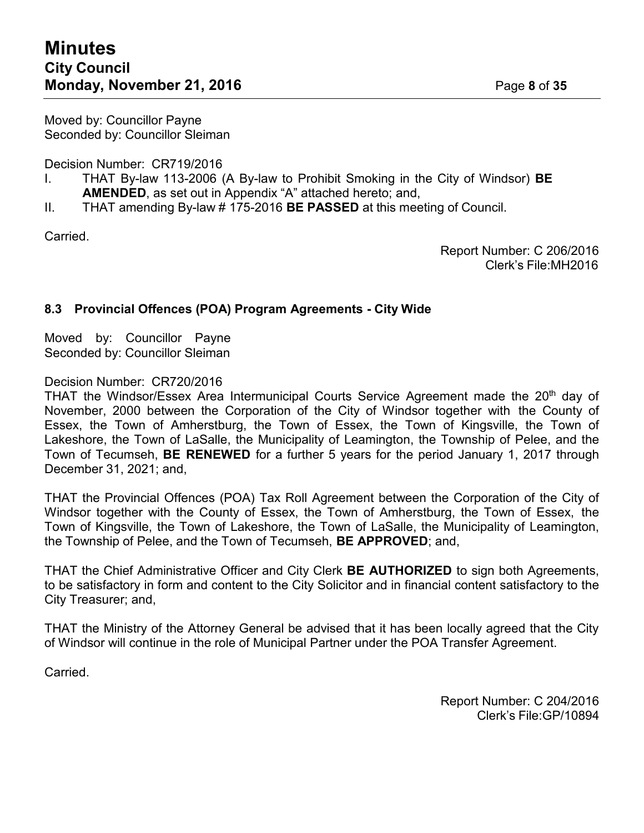Moved by: Councillor Payne Seconded by: Councillor Sleiman

Decision Number: CR719/2016

- I. THAT By-law 113-2006 (A By-law to Prohibit Smoking in the City of Windsor) **BE AMENDED**, as set out in Appendix "A" attached hereto; and,
- II. THAT amending By-law # 175-2016 **BE PASSED** at this meeting of Council.

Carried.

Report Number: C 206/2016 Clerk's File:MH2016

# **8.3 Provincial Offences (POA) Program Agreements - City Wide**

Moved by: Councillor Payne Seconded by: Councillor Sleiman

### Decision Number: CR720/2016

THAT the Windsor/Essex Area Intermunicipal Courts Service Agreement made the 20<sup>th</sup> day of November, 2000 between the Corporation of the City of Windsor together with the County of Essex, the Town of Amherstburg, the Town of Essex, the Town of Kingsville, the Town of Lakeshore, the Town of LaSalle, the Municipality of Leamington, the Township of Pelee, and the Town of Tecumseh, **BE RENEWED** for a further 5 years for the period January 1, 2017 through December 31, 2021; and,

THAT the Provincial Offences (POA) Tax Roll Agreement between the Corporation of the City of Windsor together with the County of Essex, the Town of Amherstburg, the Town of Essex, the Town of Kingsville, the Town of Lakeshore, the Town of LaSalle, the Municipality of Leamington, the Township of Pelee, and the Town of Tecumseh, **BE APPROVED**; and,

THAT the Chief Administrative Officer and City Clerk **BE AUTHORIZED** to sign both Agreements, to be satisfactory in form and content to the City Solicitor and in financial content satisfactory to the City Treasurer; and,

THAT the Ministry of the Attorney General be advised that it has been locally agreed that the City of Windsor will continue in the role of Municipal Partner under the POA Transfer Agreement.

Carried.

Report Number: C 204/2016 Clerk's File:GP/10894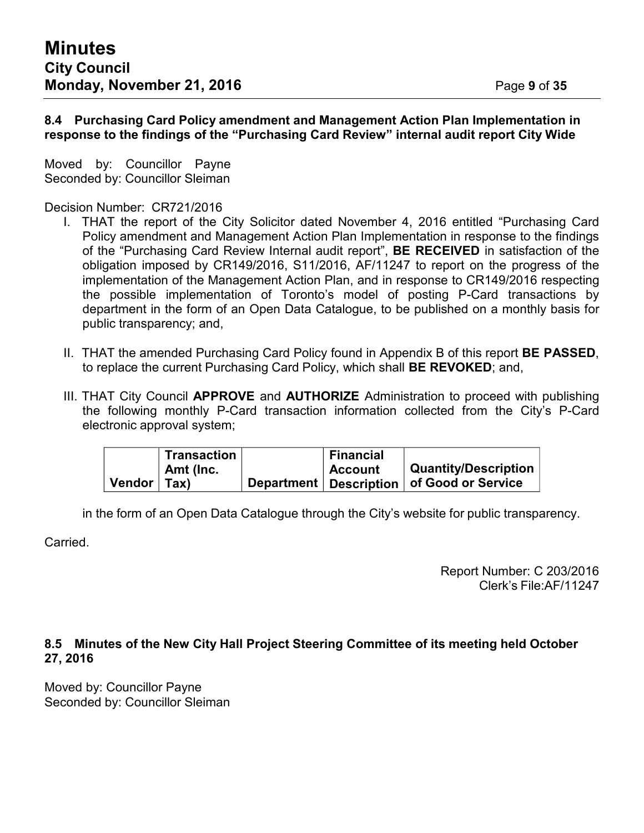Moved by: Councillor Payne Seconded by: Councillor Sleiman

Decision Number: CR721/2016

- I. THAT the report of the City Solicitor dated November 4, 2016 entitled "Purchasing Card Policy amendment and Management Action Plan Implementation in response to the findings of the "Purchasing Card Review Internal audit report", **BE RECEIVED** in satisfaction of the obligation imposed by CR149/2016, S11/2016, AF/11247 to report on the progress of the implementation of the Management Action Plan, and in response to CR149/2016 respecting the possible implementation of Toronto's model of posting P-Card transactions by department in the form of an Open Data Catalogue, to be published on a monthly basis for public transparency; and,
- II. THAT the amended Purchasing Card Policy found in Appendix B of this report **BE PASSED**, to replace the current Purchasing Card Policy, which shall **BE REVOKED**; and,
- III. THAT City Council **APPROVE** and **AUTHORIZE** Administration to proceed with publishing the following monthly P-Card transaction information collected from the City's P-Card electronic approval system;

|        | <b>Transaction</b> | <b>Financial</b> |                                               |
|--------|--------------------|------------------|-----------------------------------------------|
|        | <b>∣ Amt (Inc.</b> | <b>Account</b>   | Quantity/Description                          |
| Vendor | Tax)               |                  | Department   Description   of Good or Service |

in the form of an Open Data Catalogue through the City's website for public transparency.

Carried.

Report Number: C 203/2016 Clerk's File:AF/11247

# **8.5 Minutes of the New City Hall Project Steering Committee of its meeting held October 27, 2016**

Moved by: Councillor Payne Seconded by: Councillor Sleiman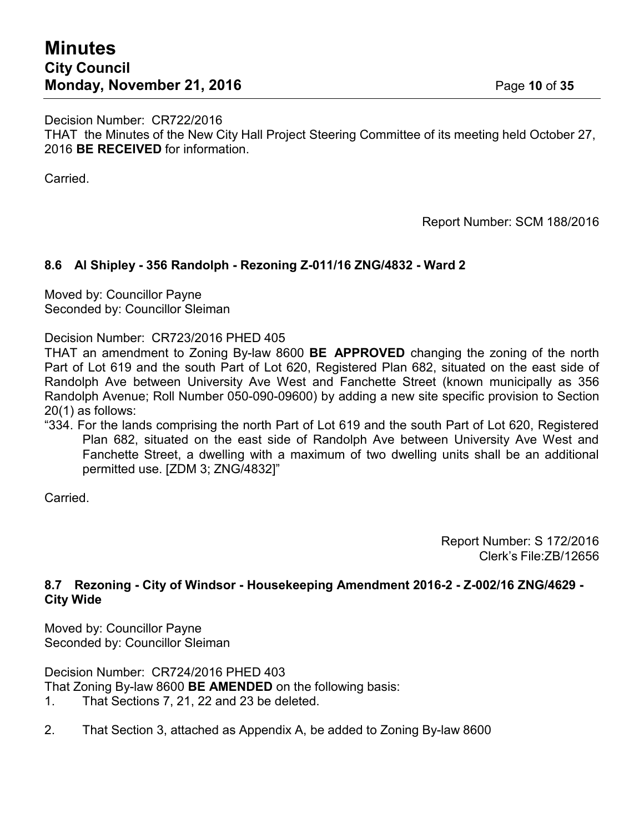# **Minutes City Council Monday, November 21, 2016 Page 10 of 35**

Decision Number: CR722/2016 THAT the Minutes of the New City Hall Project Steering Committee of its meeting held October 27, 2016 **BE RECEIVED** for information.

Carried.

Report Number: SCM 188/2016

# **8.6 Al Shipley - 356 Randolph - Rezoning Z-011/16 ZNG/4832 - Ward 2**

Moved by: Councillor Payne Seconded by: Councillor Sleiman

Decision Number: CR723/2016 PHED 405

THAT an amendment to Zoning By-law 8600 **BE APPROVED** changing the zoning of the north Part of Lot 619 and the south Part of Lot 620, Registered Plan 682, situated on the east side of Randolph Ave between University Ave West and Fanchette Street (known municipally as 356 Randolph Avenue; Roll Number 050-090-09600) by adding a new site specific provision to Section 20(1) as follows:

"334. For the lands comprising the north Part of Lot 619 and the south Part of Lot 620, Registered Plan 682, situated on the east side of Randolph Ave between University Ave West and Fanchette Street, a dwelling with a maximum of two dwelling units shall be an additional permitted use. [ZDM 3; ZNG/4832]"

Carried.

Report Number: S 172/2016 Clerk's File:ZB/12656

# **8.7 Rezoning - City of Windsor - Housekeeping Amendment 2016-2 - Z-002/16 ZNG/4629 - City Wide**

Moved by: Councillor Payne Seconded by: Councillor Sleiman

Decision Number: CR724/2016 PHED 403 That Zoning By-law 8600 **BE AMENDED** on the following basis:

- 1. That Sections 7, 21, 22 and 23 be deleted.
- 2. That Section 3, attached as Appendix A, be added to Zoning By-law 8600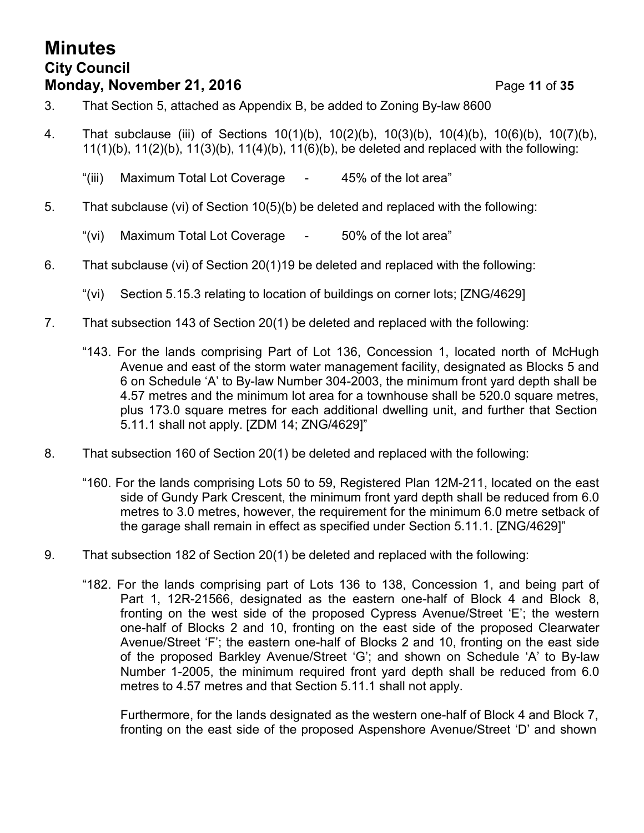# **Minutes City Council Monday, November 21, 2016 Page 11 of 35**

- 3. That Section 5, attached as Appendix B, be added to Zoning By-law 8600
- 4. That subclause (iii) of Sections 10(1)(b), 10(2)(b), 10(3)(b), 10(4)(b), 10(6)(b), 10(7)(b), 11(1)(b), 11(2)(b), 11(3)(b), 11(4)(b), 11(6)(b), be deleted and replaced with the following:
	- "(iii) Maximum Total Lot Coverage 45% of the lot area"
- 5. That subclause (vi) of Section 10(5)(b) be deleted and replaced with the following:
	- "(vi) Maximum Total Lot Coverage 50% of the lot area"
- 6. That subclause (vi) of Section 20(1)19 be deleted and replaced with the following:
	- "(vi) Section 5.15.3 relating to location of buildings on corner lots; [ZNG/4629]
- 7. That subsection 143 of Section 20(1) be deleted and replaced with the following:
	- "143. For the lands comprising Part of Lot 136, Concession 1, located north of McHugh Avenue and east of the storm water management facility, designated as Blocks 5 and 6 on Schedule 'A' to By-law Number 304-2003, the minimum front yard depth shall be 4.57 metres and the minimum lot area for a townhouse shall be 520.0 square metres, plus 173.0 square metres for each additional dwelling unit, and further that Section 5.11.1 shall not apply. [ZDM 14; ZNG/4629]"
- 8. That subsection 160 of Section 20(1) be deleted and replaced with the following:
	- "160. For the lands comprising Lots 50 to 59, Registered Plan 12M-211, located on the east side of Gundy Park Crescent, the minimum front yard depth shall be reduced from 6.0 metres to 3.0 metres, however, the requirement for the minimum 6.0 metre setback of the garage shall remain in effect as specified under Section 5.11.1. [ZNG/4629]"
- 9. That subsection 182 of Section 20(1) be deleted and replaced with the following:
	- "182. For the lands comprising part of Lots 136 to 138, Concession 1, and being part of Part 1, 12R-21566, designated as the eastern one-half of Block 4 and Block 8, fronting on the west side of the proposed Cypress Avenue/Street 'E'; the western one-half of Blocks 2 and 10, fronting on the east side of the proposed Clearwater Avenue/Street 'F'; the eastern one-half of Blocks 2 and 10, fronting on the east side of the proposed Barkley Avenue/Street 'G'; and shown on Schedule 'A' to By-law Number 1-2005, the minimum required front yard depth shall be reduced from 6.0 metres to 4.57 metres and that Section 5.11.1 shall not apply.

Furthermore, for the lands designated as the western one-half of Block 4 and Block 7, fronting on the east side of the proposed Aspenshore Avenue/Street 'D' and shown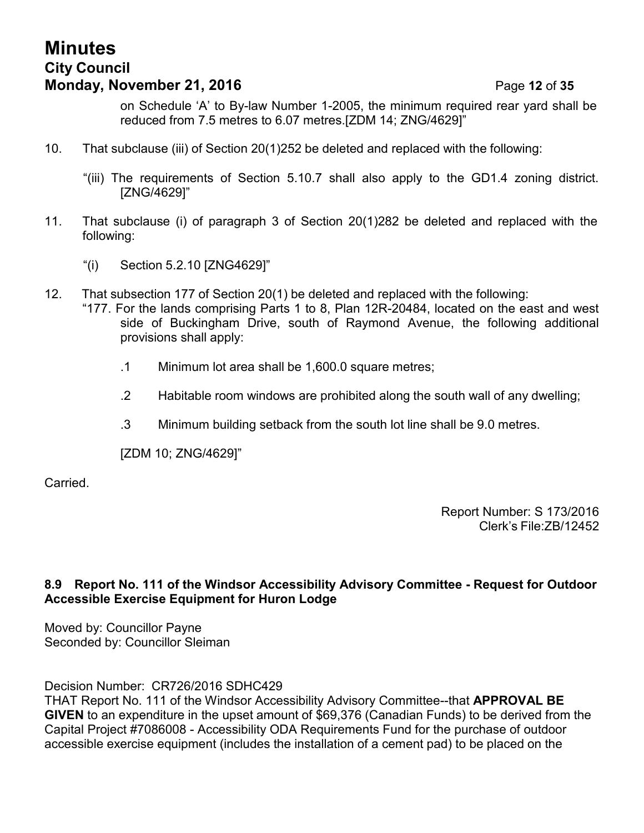# **Minutes City Council Monday, November 21, 2016 Page 12 of 35**

on Schedule 'A' to By-law Number 1-2005, the minimum required rear yard shall be reduced from 7.5 metres to 6.07 metres.[ZDM 14; ZNG/4629]"

- 10. That subclause (iii) of Section 20(1)252 be deleted and replaced with the following:
	- "(iii) The requirements of Section 5.10.7 shall also apply to the GD1.4 zoning district. [ZNG/4629]"
- 11. That subclause (i) of paragraph 3 of Section 20(1)282 be deleted and replaced with the following:
	- "(i) Section 5.2.10 [ZNG4629]"
- 12. That subsection 177 of Section 20(1) be deleted and replaced with the following:
	- "177. For the lands comprising Parts 1 to 8, Plan 12R-20484, located on the east and west side of Buckingham Drive, south of Raymond Avenue, the following additional provisions shall apply:
		- .1 Minimum lot area shall be 1,600.0 square metres;
		- .2 Habitable room windows are prohibited along the south wall of any dwelling;
		- .3 Minimum building setback from the south lot line shall be 9.0 metres.

[ZDM 10; ZNG/4629]"

Carried.

Report Number: S 173/2016 Clerk's File:ZB/12452

# **8.9 Report No. 111 of the Windsor Accessibility Advisory Committee - Request for Outdoor Accessible Exercise Equipment for Huron Lodge**

Moved by: Councillor Payne Seconded by: Councillor Sleiman

Decision Number: CR726/2016 SDHC429

THAT Report No. 111 of the Windsor Accessibility Advisory Committee--that **APPROVAL BE GIVEN** to an expenditure in the upset amount of \$69,376 (Canadian Funds) to be derived from the Capital Project #7086008 - Accessibility ODA Requirements Fund for the purchase of outdoor accessible exercise equipment (includes the installation of a cement pad) to be placed on the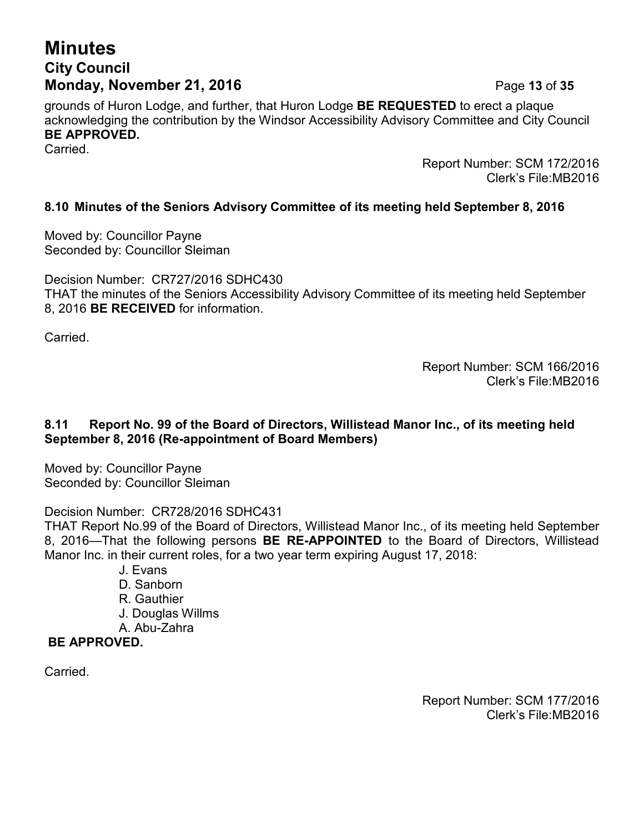# **Minutes City Council Monday, November 21, 2016 Page 13 of 35**

grounds of Huron Lodge, and further, that Huron Lodge **BE REQUESTED** to erect a plaque acknowledging the contribution by the Windsor Accessibility Advisory Committee and City Council **BE APPROVED.** Carried.

> Report Number: SCM 172/2016 Clerk's File:MB2016

# **8.10 Minutes of the Seniors Advisory Committee of its meeting held September 8, 2016**

Moved by: Councillor Payne Seconded by: Councillor Sleiman

Decision Number: CR727/2016 SDHC430 THAT the minutes of the Seniors Accessibility Advisory Committee of its meeting held September 8, 2016 **BE RECEIVED** for information.

Carried.

Report Number: SCM 166/2016 Clerk's File:MB2016

# **8.11 Report No. 99 of the Board of Directors, Willistead Manor Inc., of its meeting held September 8, 2016 (Re-appointment of Board Members)**

Moved by: Councillor Payne Seconded by: Councillor Sleiman

Decision Number: CR728/2016 SDHC431

THAT Report No.99 of the Board of Directors, Willistead Manor Inc., of its meeting held September 8, 2016—That the following persons **BE RE-APPOINTED** to the Board of Directors, Willistead Manor Inc. in their current roles, for a two year term expiring August 17, 2018:

J. Evans D. Sanborn R. Gauthier J. Douglas Willms

A. Abu-Zahra

**BE APPROVED.**

Carried.

Report Number: SCM 177/2016 Clerk's File:MB2016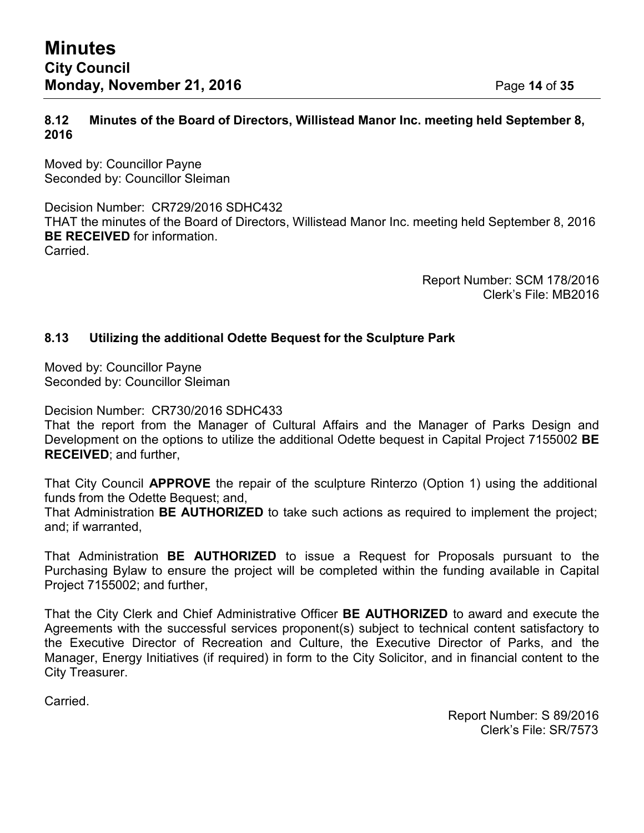# **8.12 Minutes of the Board of Directors, Willistead Manor Inc. meeting held September 8, 2016**

Moved by: Councillor Payne Seconded by: Councillor Sleiman

Decision Number: CR729/2016 SDHC432 THAT the minutes of the Board of Directors, Willistead Manor Inc. meeting held September 8, 2016 **BE RECEIVED** for information. Carried.

> Report Number: SCM 178/2016 Clerk's File: MB2016

# **8.13 Utilizing the additional Odette Bequest for the Sculpture Park**

Moved by: Councillor Payne Seconded by: Councillor Sleiman

Decision Number: CR730/2016 SDHC433

That the report from the Manager of Cultural Affairs and the Manager of Parks Design and Development on the options to utilize the additional Odette bequest in Capital Project 7155002 **BE RECEIVED**; and further,

That City Council **APPROVE** the repair of the sculpture Rinterzo (Option 1) using the additional funds from the Odette Bequest; and,

That Administration **BE AUTHORIZED** to take such actions as required to implement the project; and; if warranted,

That Administration **BE AUTHORIZED** to issue a Request for Proposals pursuant to the Purchasing Bylaw to ensure the project will be completed within the funding available in Capital Project 7155002; and further,

That the City Clerk and Chief Administrative Officer **BE AUTHORIZED** to award and execute the Agreements with the successful services proponent(s) subject to technical content satisfactory to the Executive Director of Recreation and Culture, the Executive Director of Parks, and the Manager, Energy Initiatives (if required) in form to the City Solicitor, and in financial content to the City Treasurer.

**Carried** 

Report Number: S 89/2016 Clerk's File: SR/7573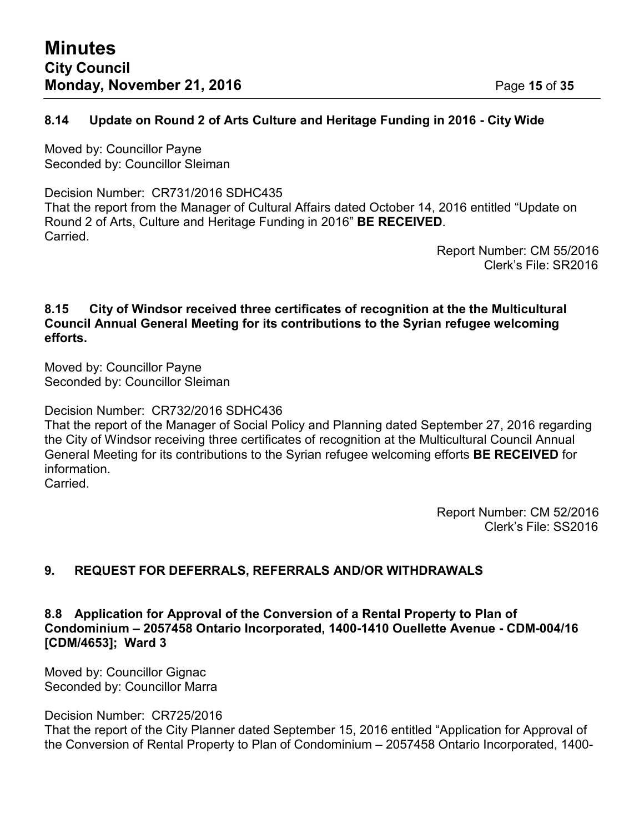# **8.14 Update on Round 2 of Arts Culture and Heritage Funding in 2016 - City Wide**

Moved by: Councillor Payne Seconded by: Councillor Sleiman

Decision Number: CR731/2016 SDHC435 That the report from the Manager of Cultural Affairs dated October 14, 2016 entitled "Update on Round 2 of Arts, Culture and Heritage Funding in 2016" **BE RECEIVED**. **Carried** 

Report Number: CM 55/2016 Clerk's File: SR2016

# **8.15 City of Windsor received three certificates of recognition at the the Multicultural Council Annual General Meeting for its contributions to the Syrian refugee welcoming efforts.**

Moved by: Councillor Payne Seconded by: Councillor Sleiman

Decision Number: CR732/2016 SDHC436

That the report of the Manager of Social Policy and Planning dated September 27, 2016 regarding the City of Windsor receiving three certificates of recognition at the Multicultural Council Annual General Meeting for its contributions to the Syrian refugee welcoming efforts **BE RECEIVED** for information.

**Carried** 

Report Number: CM 52/2016 Clerk's File: SS2016

# **9. REQUEST FOR DEFERRALS, REFERRALS AND/OR WITHDRAWALS**

**8.8 Application for Approval of the Conversion of a Rental Property to Plan of Condominium – 2057458 Ontario Incorporated, 1400-1410 Ouellette Avenue - CDM-004/16 [CDM/4653]; Ward 3**

Moved by: Councillor Gignac Seconded by: Councillor Marra

# Decision Number: CR725/2016

That the report of the City Planner dated September 15, 2016 entitled "Application for Approval of the Conversion of Rental Property to Plan of Condominium – 2057458 Ontario Incorporated, 1400-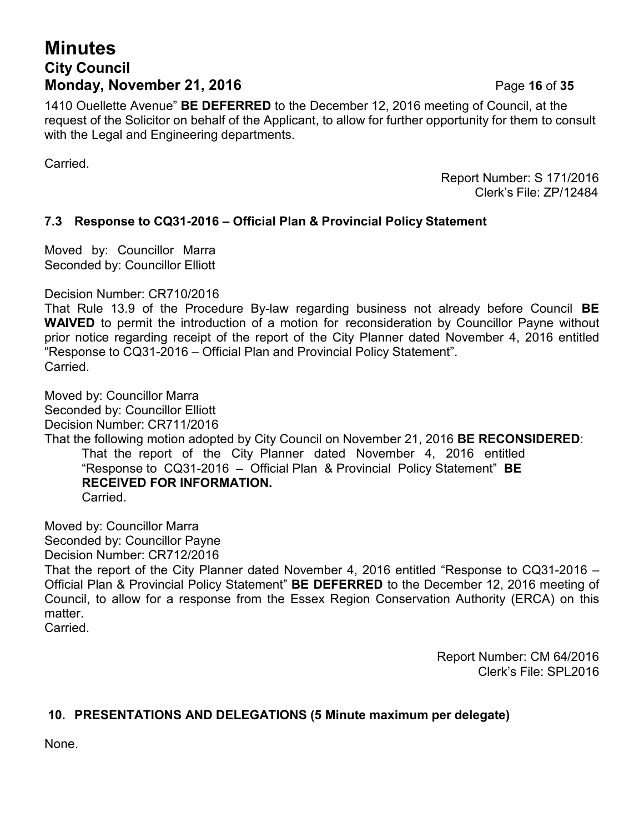# **Minutes City Council Monday, November 21, 2016 Page 16** of 35

1410 Ouellette Avenue" **BE DEFERRED** to the December 12, 2016 meeting of Council, at the request of the Solicitor on behalf of the Applicant, to allow for further opportunity for them to consult with the Legal and Engineering departments.

Carried.

Report Number: S 171/2016 Clerk's File: ZP/12484

# **7.3 Response to CQ31-2016 – Official Plan & Provincial Policy Statement**

Moved by: Councillor Marra Seconded by: Councillor Elliott

Decision Number: CR710/2016

That Rule 13.9 of the Procedure By-law regarding business not already before Council **BE WAIVED** to permit the introduction of a motion for reconsideration by Councillor Payne without prior notice regarding receipt of the report of the City Planner dated November 4, 2016 entitled "Response to CQ31-2016 – Official Plan and Provincial Policy Statement". **Carried** 

Moved by: Councillor Marra Seconded by: Councillor Elliott Decision Number: CR711/2016 That the following motion adopted by City Council on November 21, 2016 **BE RECONSIDERED**: That the report of the City Planner dated November 4, 2016 entitled "Response to CQ31-2016 – Official Plan & Provincial Policy Statement" **BE RECEIVED FOR INFORMATION.** Carried.

Moved by: Councillor Marra

Seconded by: Councillor Payne

Decision Number: CR712/2016

That the report of the City Planner dated November 4, 2016 entitled "Response to CQ31-2016 – Official Plan & Provincial Policy Statement" **BE DEFERRED** to the December 12, 2016 meeting of Council, to allow for a response from the Essex Region Conservation Authority (ERCA) on this matter.

**Carried** 

Report Number: CM 64/2016 Clerk's File: SPL2016

# **10. PRESENTATIONS AND DELEGATIONS (5 Minute maximum per delegate)**

None.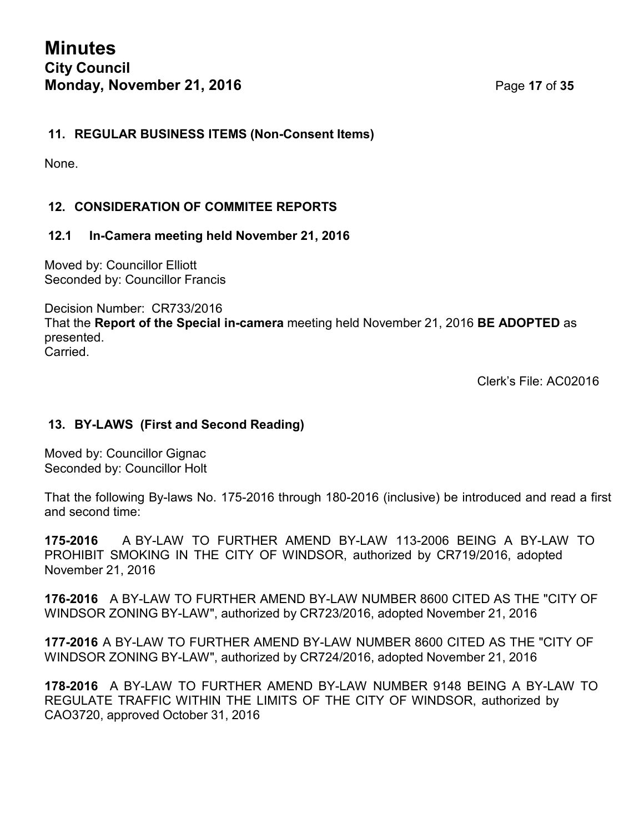# **11. REGULAR BUSINESS ITEMS (Non-Consent Items)**

None.

# **12. CONSIDERATION OF COMMITEE REPORTS**

# **12.1 In-Camera meeting held November 21, 2016**

Moved by: Councillor Elliott Seconded by: Councillor Francis

Decision Number: CR733/2016

That the **Report of the Special in-camera** meeting held November 21, 2016 **BE ADOPTED** as presented. Carried.

Clerk's File: AC02016

# **13. BY-LAWS (First and Second Reading)**

Moved by: Councillor Gignac Seconded by: Councillor Holt

That the following By-laws No. 175-2016 through 180-2016 (inclusive) be introduced and read a first and second time:

**175-2016** A BY-LAW TO FURTHER AMEND BY-LAW 113-2006 BEING A BY-LAW TO PROHIBIT SMOKING IN THE CITY OF WINDSOR, authorized by CR719/2016, adopted November 21, 2016

**176-2016** A BY-LAW TO FURTHER AMEND BY-LAW NUMBER 8600 CITED AS THE "CITY OF WINDSOR ZONING BY-LAW", authorized by CR723/2016, adopted November 21, 2016

**177-2016** A BY-LAW TO FURTHER AMEND BY-LAW NUMBER 8600 CITED AS THE "CITY OF WINDSOR ZONING BY-LAW", authorized by CR724/2016, adopted November 21, 2016

**178-2016** A BY-LAW TO FURTHER AMEND BY-LAW NUMBER 9148 BEING A BY-LAW TO REGULATE TRAFFIC WITHIN THE LIMITS OF THE CITY OF WINDSOR, authorized by CAO3720, approved October 31, 2016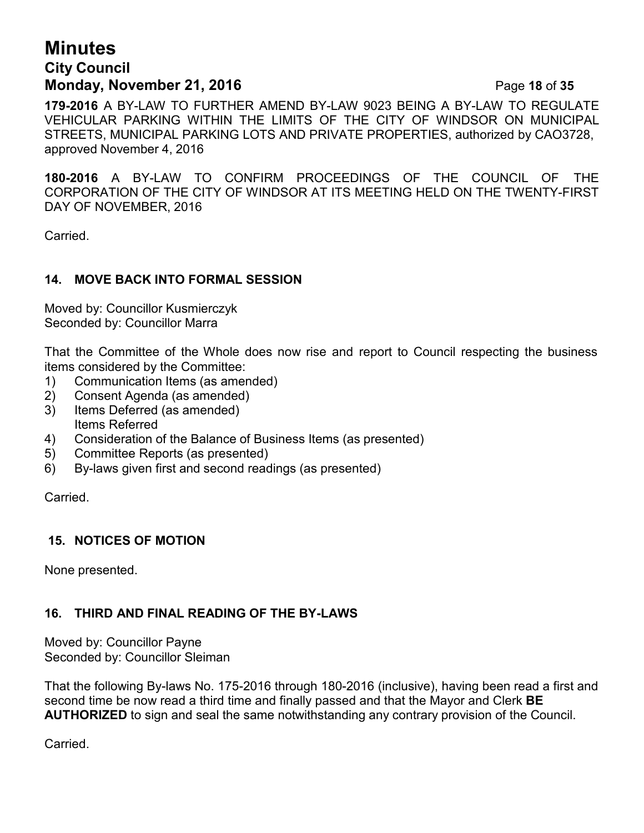# **Minutes City Council Monday, November 21, 2016 Page 18 of 35**

**179-2016** A BY-LAW TO FURTHER AMEND BY-LAW 9023 BEING A BY-LAW TO REGULATE VEHICULAR PARKING WITHIN THE LIMITS OF THE CITY OF WINDSOR ON MUNICIPAL STREETS, MUNICIPAL PARKING LOTS AND PRIVATE PROPERTIES, authorized by CAO3728, approved November 4, 2016

**180-2016** A BY-LAW TO CONFIRM PROCEEDINGS OF THE COUNCIL OF THE CORPORATION OF THE CITY OF WINDSOR AT ITS MEETING HELD ON THE TWENTY-FIRST DAY OF NOVEMBER, 2016

Carried.

# **14. MOVE BACK INTO FORMAL SESSION**

Moved by: Councillor Kusmierczyk Seconded by: Councillor Marra

That the Committee of the Whole does now rise and report to Council respecting the business items considered by the Committee:

- 1) Communication Items (as amended)
- 2) Consent Agenda (as amended)
- 3) Items Deferred (as amended)
- Items Referred
- 4) Consideration of the Balance of Business Items (as presented)
- 5) Committee Reports (as presented)
- 6) By-laws given first and second readings (as presented)

Carried.

# **15. NOTICES OF MOTION**

None presented.

# **16. THIRD AND FINAL READING OF THE BY-LAWS**

Moved by: Councillor Payne Seconded by: Councillor Sleiman

That the following By-laws No. 175-2016 through 180-2016 (inclusive), having been read a first and second time be now read a third time and finally passed and that the Mayor and Clerk **BE AUTHORIZED** to sign and seal the same notwithstanding any contrary provision of the Council.

Carried.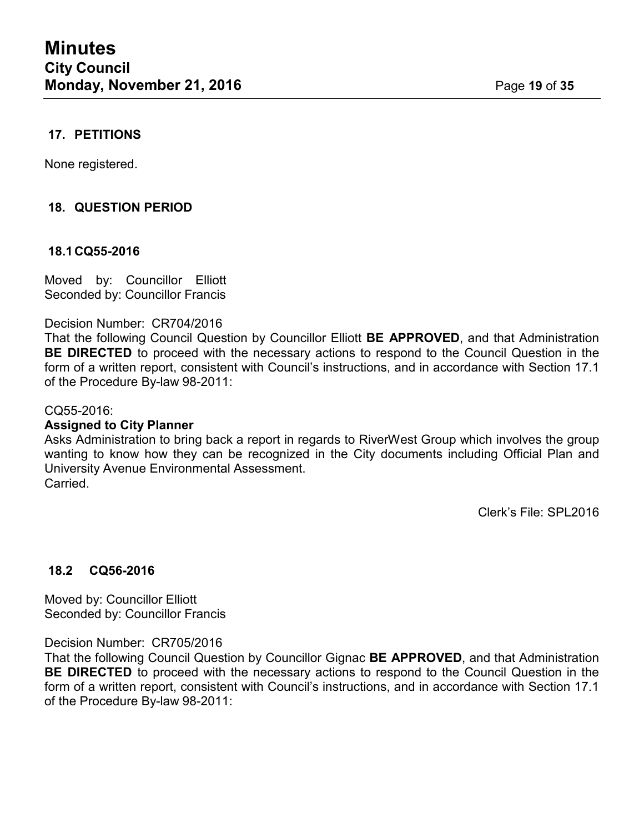# **17. PETITIONS**

None registered.

# **18. QUESTION PERIOD**

# **18.1CQ55-2016**

Moved by: Councillor Elliott Seconded by: Councillor Francis

#### Decision Number: CR704/2016

That the following Council Question by Councillor Elliott **BE APPROVED**, and that Administration **BE DIRECTED** to proceed with the necessary actions to respond to the Council Question in the form of a written report, consistent with Council's instructions, and in accordance with Section 17.1 of the Procedure By-law 98-2011:

### CQ55-2016:

#### **Assigned to City Planner**

Asks Administration to bring back a report in regards to RiverWest Group which involves the group wanting to know how they can be recognized in the City documents including Official Plan and University Avenue Environmental Assessment. Carried.

Clerk's File: SPL2016

# **18.2 CQ56-2016**

Moved by: Councillor Elliott Seconded by: Councillor Francis

#### Decision Number: CR705/2016

That the following Council Question by Councillor Gignac **BE APPROVED**, and that Administration **BE DIRECTED** to proceed with the necessary actions to respond to the Council Question in the form of a written report, consistent with Council's instructions, and in accordance with Section 17.1 of the Procedure By-law 98-2011: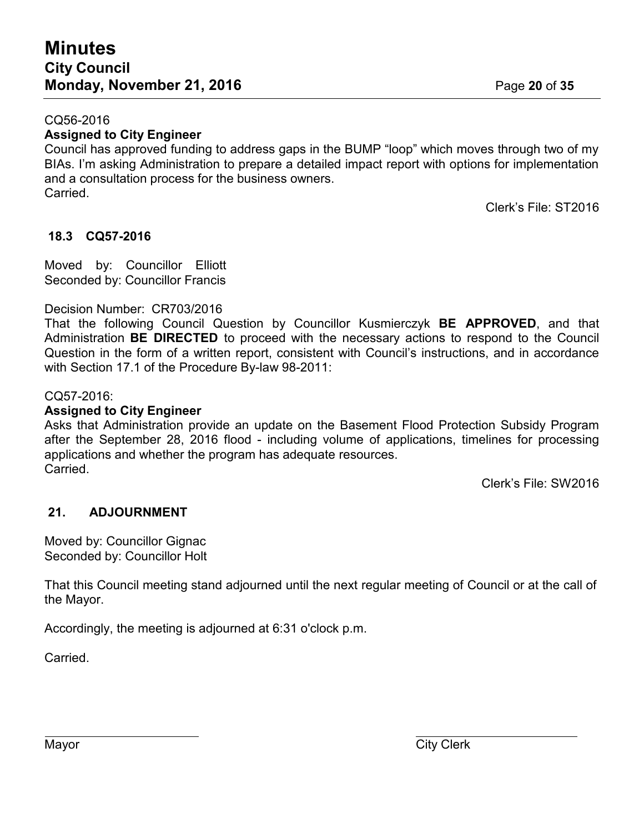### CQ56-2016

# **Assigned to City Engineer**

Council has approved funding to address gaps in the BUMP "loop" which moves through two of my BIAs. I'm asking Administration to prepare a detailed impact report with options for implementation and a consultation process for the business owners. Carried.

Clerk's File: ST2016

# **18.3 CQ57-2016**

Moved by: Councillor Elliott Seconded by: Councillor Francis

### Decision Number: CR703/2016

That the following Council Question by Councillor Kusmierczyk **BE APPROVED**, and that Administration **BE DIRECTED** to proceed with the necessary actions to respond to the Council Question in the form of a written report, consistent with Council's instructions, and in accordance with Section 17.1 of the Procedure By-law 98-2011:

### CQ57-2016:

### **Assigned to City Engineer**

Asks that Administration provide an update on the Basement Flood Protection Subsidy Program after the September 28, 2016 flood - including volume of applications, timelines for processing applications and whether the program has adequate resources. Carried.

Clerk's File: SW2016

# **21. ADJOURNMENT**

Moved by: Councillor Gignac Seconded by: Councillor Holt

That this Council meeting stand adjourned until the next regular meeting of Council or at the call of the Mayor.

Accordingly, the meeting is adjourned at 6:31 o'clock p.m.

Carried.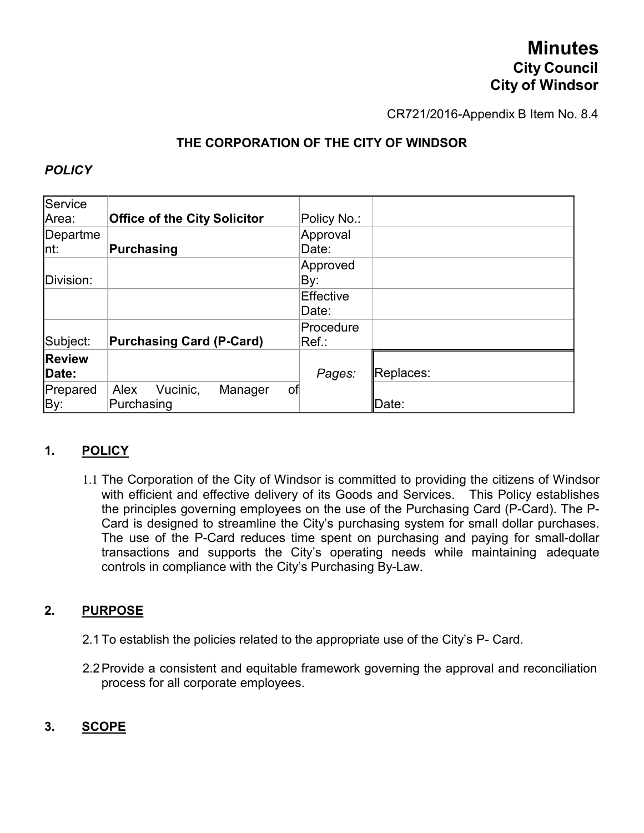# **Minutes City Council City of Windsor**

CR721/2016-Appendix B Item No. 8.4

# **THE CORPORATION OF THE CITY OF WINDSOR**

# *POLICY*

| Service       |                                     |             |           |
|---------------|-------------------------------------|-------------|-----------|
| Area:         | <b>Office of the City Solicitor</b> | Policy No.: |           |
| Departme      |                                     | Approval    |           |
| Int:          | Purchasing                          | Date:       |           |
|               |                                     | Approved    |           |
| Division:     |                                     | By:         |           |
|               |                                     | Effective   |           |
|               |                                     | Date:       |           |
|               |                                     | Procedure   |           |
| Subject:      | <b>Purchasing Card (P-Card)</b>     | lRef.:      |           |
| <b>Review</b> |                                     |             |           |
| Date:         |                                     | Pages:      | Replaces: |
| Prepared      | Vucinic,<br>Alex<br>Manager<br>of∣  |             |           |
| By:           | Purchasing                          |             | Date:     |

# **1. POLICY**

1.1 The Corporation of the City of Windsor is committed to providing the citizens of Windsor with efficient and effective delivery of its Goods and Services. This Policy establishes the principles governing employees on the use of the Purchasing Card (P-Card). The P-Card is designed to streamline the City's purchasing system for small dollar purchases. The use of the P-Card reduces time spent on purchasing and paying for small-dollar transactions and supports the City's operating needs while maintaining adequate controls in compliance with the City's Purchasing By-Law.

# **2. PURPOSE**

- 2.1To establish the policies related to the appropriate use of the City's P- Card.
- 2.2Provide a consistent and equitable framework governing the approval and reconciliation process for all corporate employees.

# **3. SCOPE**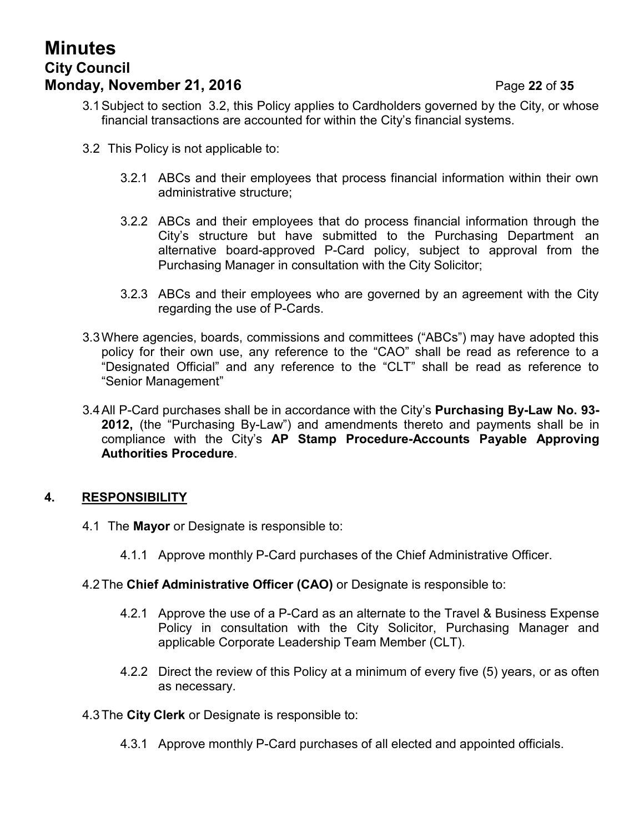# **Minutes City Council Monday, November 21, 2016 Page 22 of 35**

- 3.1Subject to section [3.2,](#page-21-0) this Policy applies to Cardholders governed by the City, or whose financial transactions are accounted for within the City's financial systems.
- <span id="page-21-0"></span>3.2 This Policy is not applicable to:
	- 3.2.1 ABCs and their employees that process financial information within their own administrative structure;
	- 3.2.2 ABCs and their employees that do process financial information through the City's structure but have submitted to the Purchasing Department an alternative board-approved P-Card policy, subject to approval from the Purchasing Manager in consultation with the City Solicitor;
	- 3.2.3 ABCs and their employees who are governed by an agreement with the City regarding the use of P-Cards.
- 3.3Where agencies, boards, commissions and committees ("ABCs") may have adopted this policy for their own use, any reference to the "CAO" shall be read as reference to a "Designated Official" and any reference to the "CLT" shall be read as reference to "Senior Management"
- 3.4All P-Card purchases shall be in accordance with the City's **Purchasing By-Law No. 93- 2012,** (the "Purchasing By-Law") and amendments thereto and payments shall be in compliance with the City's **AP Stamp Procedure-Accounts Payable Approving Authorities Procedure**.

# **4. RESPONSIBILITY**

- 4.1 The **Mayor** or Designate is responsible to:
	- 4.1.1 Approve monthly P-Card purchases of the Chief Administrative Officer.

# 4.2The **Chief Administrative Officer (CAO)** or Designate is responsible to:

- 4.2.1 Approve the use of a P-Card as an alternate to the Travel & Business Expense Policy in consultation with the City Solicitor, Purchasing Manager and applicable Corporate Leadership Team Member (CLT).
- 4.2.2 Direct the review of this Policy at a minimum of every five (5) years, or as often as necessary.
- 4.3The **City Clerk** or Designate is responsible to:
	- 4.3.1 Approve monthly P-Card purchases of all elected and appointed officials.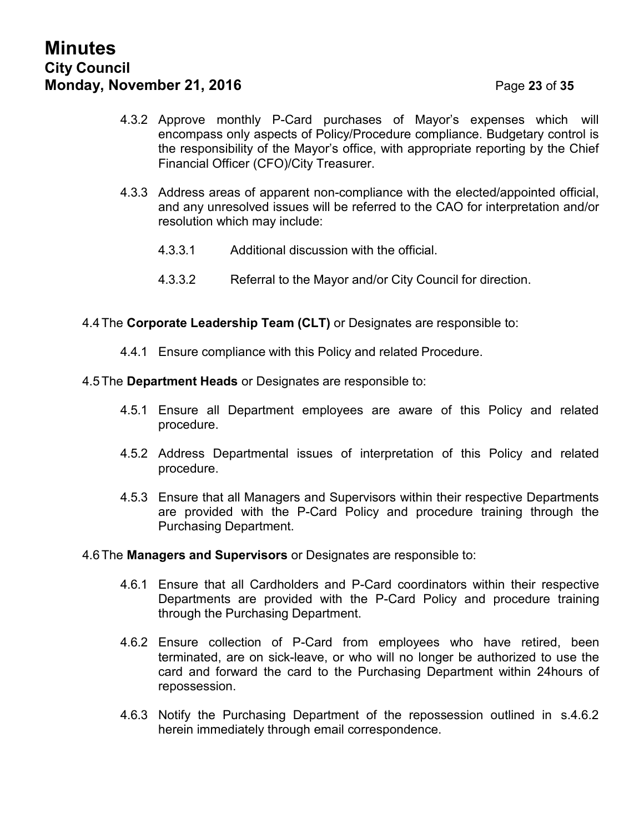# **Minutes City Council Monday, November 21, 2016 Page 23 of 35**

- 4.3.2 Approve monthly P-Card purchases of Mayor's expenses which will encompass only aspects of Policy/Procedure compliance. Budgetary control is the responsibility of the Mayor's office, with appropriate reporting by the Chief Financial Officer (CFO)/City Treasurer.
- 4.3.3 Address areas of apparent non-compliance with the elected/appointed official, and any unresolved issues will be referred to the CAO for interpretation and/or resolution which may include:
	- 4.3.3.1 Additional discussion with the official.
	- 4.3.3.2 Referral to the Mayor and/or City Council for direction.

4.4The **Corporate Leadership Team (CLT)** or Designates are responsible to:

4.4.1 Ensure compliance with this Policy and related Procedure.

4.5The **Department Heads** or Designates are responsible to:

- 4.5.1 Ensure all Department employees are aware of this Policy and related procedure.
- 4.5.2 Address Departmental issues of interpretation of this Policy and related procedure.
- 4.5.3 Ensure that all Managers and Supervisors within their respective Departments are provided with the P-Card Policy and procedure training through the Purchasing Department.

4.6The **Managers and Supervisors** or Designates are responsible to:

- 4.6.1 Ensure that all Cardholders and P-Card coordinators within their respective Departments are provided with the P-Card Policy and procedure training through the Purchasing Department.
- 4.6.2 Ensure collection of P-Card from employees who have retired, been terminated, are on sick-leave, or who will no longer be authorized to use the card and forward the card to the Purchasing Department within 24hours of repossession.
- 4.6.3 Notify the Purchasing Department of the repossession outlined in s.4.6.2 herein immediately through email correspondence.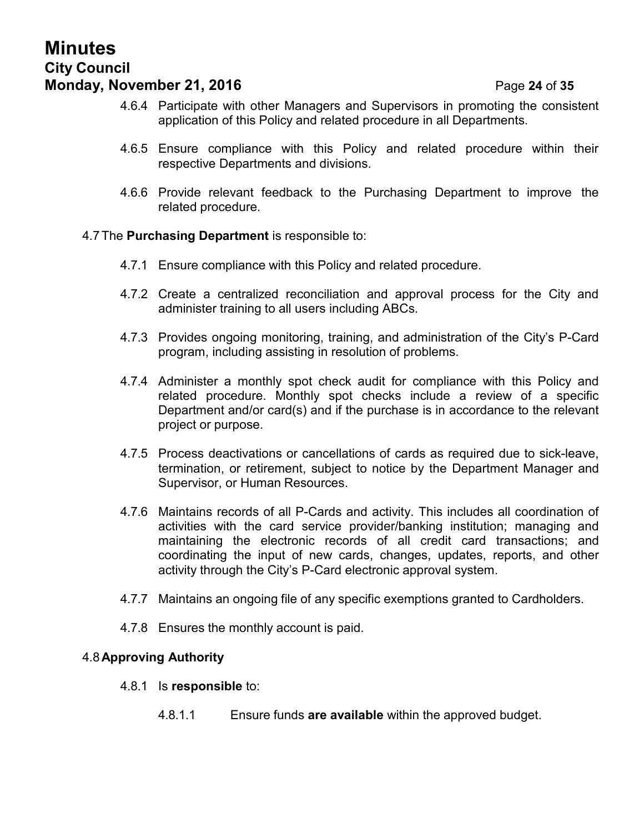# **Minutes City Council Monday, November 21, 2016 Page 24 of 35**

- 4.6.4 Participate with other Managers and Supervisors in promoting the consistent application of this Policy and related procedure in all Departments.
- 4.6.5 Ensure compliance with this Policy and related procedure within their respective Departments and divisions.
- 4.6.6 Provide relevant feedback to the Purchasing Department to improve the related procedure.
- 4.7The **Purchasing Department** is responsible to:
	- 4.7.1 Ensure compliance with this Policy and related procedure.
	- 4.7.2 Create a centralized reconciliation and approval process for the City and administer training to all users including ABCs.
	- 4.7.3 Provides ongoing monitoring, training, and administration of the City's P-Card program, including assisting in resolution of problems.
	- 4.7.4 Administer a monthly spot check audit for compliance with this Policy and related procedure. Monthly spot checks include a review of a specific Department and/or card(s) and if the purchase is in accordance to the relevant project or purpose.
	- 4.7.5 Process deactivations or cancellations of cards as required due to sick-leave, termination, or retirement, subject to notice by the Department Manager and Supervisor, or Human Resources.
	- 4.7.6 Maintains records of all P-Cards and activity. This includes all coordination of activities with the card service provider/banking institution; managing and maintaining the electronic records of all credit card transactions; and coordinating the input of new cards, changes, updates, reports, and other activity through the City's P-Card electronic approval system.
	- 4.7.7 Maintains an ongoing file of any specific exemptions granted to Cardholders.
	- 4.7.8 Ensures the monthly account is paid.

# 4.8**Approving Authority**

#### 4.8.1 Is **responsible** to:

4.8.1.1 Ensure funds **are available** within the approved budget.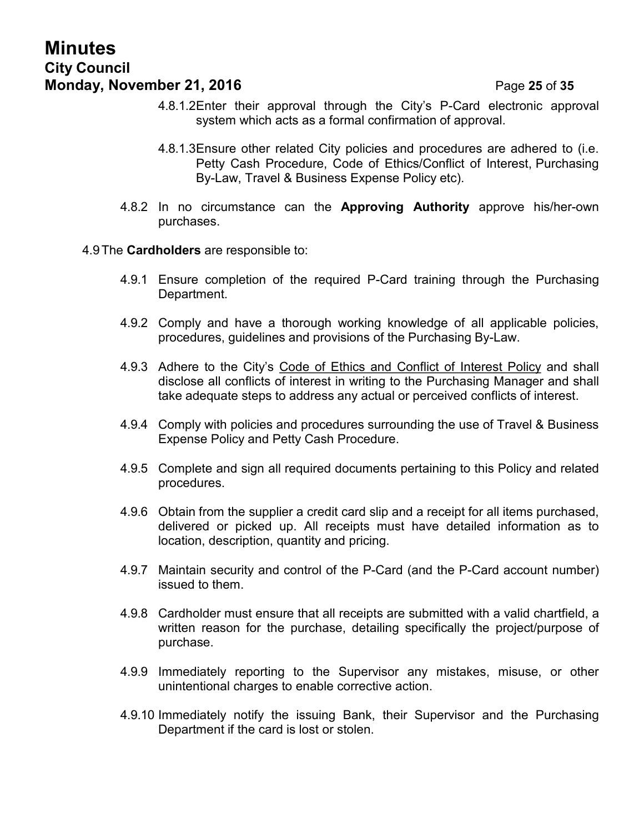# **Minutes City Council Monday, November 21, 2016 Page 25 of 35**

- 4.8.1.2Enter their approval through the City's P-Card electronic approval system which acts as a formal confirmation of approval.
- 4.8.1.3Ensure other related City policies and procedures are adhered to (i.e. Petty Cash Procedure, Code of Ethics/Conflict of Interest, Purchasing By-Law, Travel & Business Expense Policy etc).
- 4.8.2 In no circumstance can the **Approving Authority** approve his/her-own purchases.
- 4.9The **Cardholders** are responsible to:
	- 4.9.1 Ensure completion of the required P-Card training through the Purchasing Department.
	- 4.9.2 Comply and have a thorough working knowledge of all applicable policies, procedures, guidelines and provisions of the Purchasing By-Law.
	- 4.9.3 Adhere to the City's Code of Ethics and Conflict of Interest Policy and shall disclose all conflicts of interest in writing to the Purchasing Manager and shall take adequate steps to address any actual or perceived conflicts of interest.
	- 4.9.4 Comply with policies and procedures surrounding the use of Travel & Business Expense Policy and Petty Cash Procedure.
	- 4.9.5 Complete and sign all required documents pertaining to this Policy and related procedures.
	- 4.9.6 Obtain from the supplier a credit card slip and a receipt for all items purchased, delivered or picked up. All receipts must have detailed information as to location, description, quantity and pricing.
	- 4.9.7 Maintain security and control of the P-Card (and the P-Card account number) issued to them.
	- 4.9.8 Cardholder must ensure that all receipts are submitted with a valid chartfield, a written reason for the purchase, detailing specifically the project/purpose of purchase.
	- 4.9.9 Immediately reporting to the Supervisor any mistakes, misuse, or other unintentional charges to enable corrective action.
	- 4.9.10 Immediately notify the issuing Bank, their Supervisor and the Purchasing Department if the card is lost or stolen.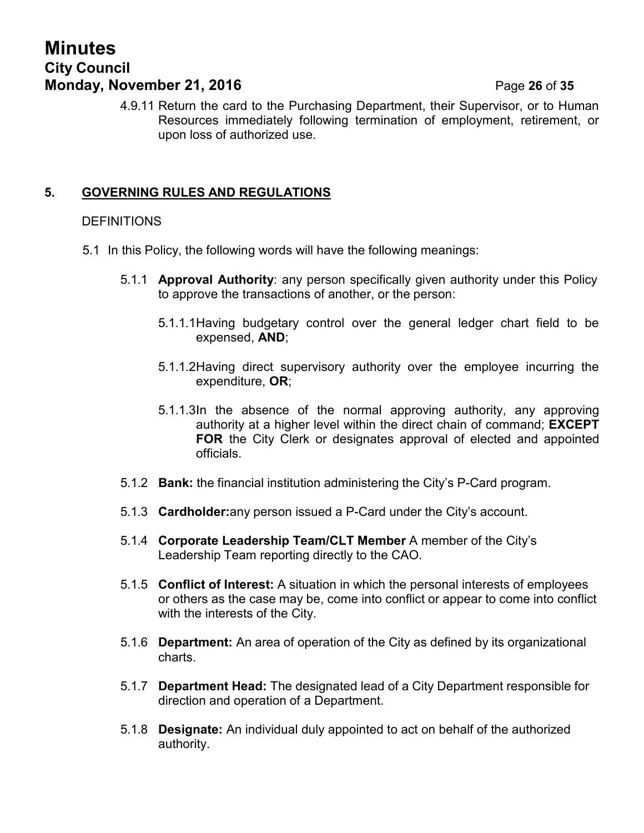# **Minutes City Council Monday, November 21, 2016 Page 26** of 35

4.9.11 Return the card to the Purchasing Department, their Supervisor, or to Human Resources immediately following termination of employment, retirement, or upon loss of authorized use.

# **5. GOVERNING RULES AND REGULATIONS**

### **DEFINITIONS**

- 5.1 In this Policy, the following words will have the following meanings:
	- 5.1.1 **Approval Authority**: any person specifically given authority under this Policy to approve the transactions of another, or the person:
		- 5.1.1.1Having budgetary control over the general ledger chart field to be expensed, **AND**;
		- 5.1.1.2Having direct supervisory authority over the employee incurring the expenditure, **OR**;
		- 5.1.1.3In the absence of the normal approving authority, any approving authority at a higher level within the direct chain of command; **EXCEPT FOR** the City Clerk or designates approval of elected and appointed officials.
	- 5.1.2 **Bank:** the financial institution administering the City's P-Card program.
	- 5.1.3 **Cardholder:**any person issued a P-Card under the City's account.
	- 5.1.4 **Corporate Leadership Team/CLT Member** A member of the City's Leadership Team reporting directly to the CAO.
	- 5.1.5 **Conflict of Interest:** A situation in which the personal interests of employees or others as the case may be, come into conflict or appear to come into conflict with the interests of the City.
	- 5.1.6 **Department:** An area of operation of the City as defined by its organizational charts.
	- 5.1.7 **Department Head:** The designated lead of a City Department responsible for direction and operation of a Department.
	- 5.1.8 **Designate:** An individual duly appointed to act on behalf of the authorized authority.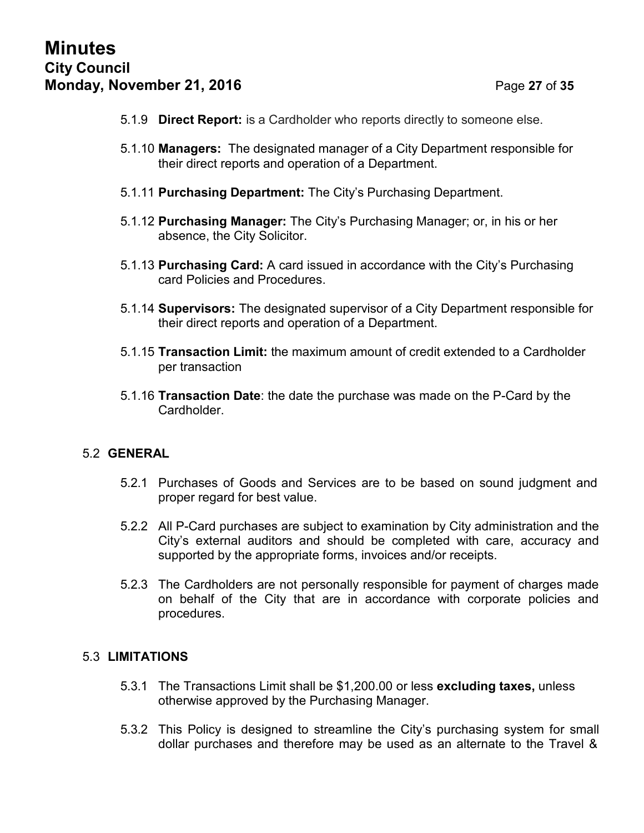- 5.1.9 **Direct Report:** is a Cardholder who reports directly to someone else.
- 5.1.10 **Managers:** The designated manager of a City Department responsible for their direct reports and operation of a Department.
- 5.1.11 **Purchasing Department:** The City's Purchasing Department.
- 5.1.12 **Purchasing Manager:** The City's Purchasing Manager; or, in his or her absence, the City Solicitor.
- 5.1.13 **Purchasing Card:** A card issued in accordance with the City's Purchasing card Policies and Procedures.
- 5.1.14 **Supervisors:** The designated supervisor of a City Department responsible for their direct reports and operation of a Department.
- 5.1.15 **Transaction Limit:** the maximum amount of credit extended to a Cardholder per transaction
- 5.1.16 **Transaction Date**: the date the purchase was made on the P-Card by the Cardholder.

# 5.2 **GENERAL**

- 5.2.1 Purchases of Goods and Services are to be based on sound judgment and proper regard for best value.
- 5.2.2 All P-Card purchases are subject to examination by City administration and the City's external auditors and should be completed with care, accuracy and supported by the appropriate forms, invoices and/or receipts.
- 5.2.3 The Cardholders are not personally responsible for payment of charges made on behalf of the City that are in accordance with corporate policies and procedures.

# 5.3 **LIMITATIONS**

- 5.3.1 The Transactions Limit shall be \$1,200.00 or less **excluding taxes,** unless otherwise approved by the Purchasing Manager.
- 5.3.2 This Policy is designed to streamline the City's purchasing system for small dollar purchases and therefore may be used as an alternate to the Travel &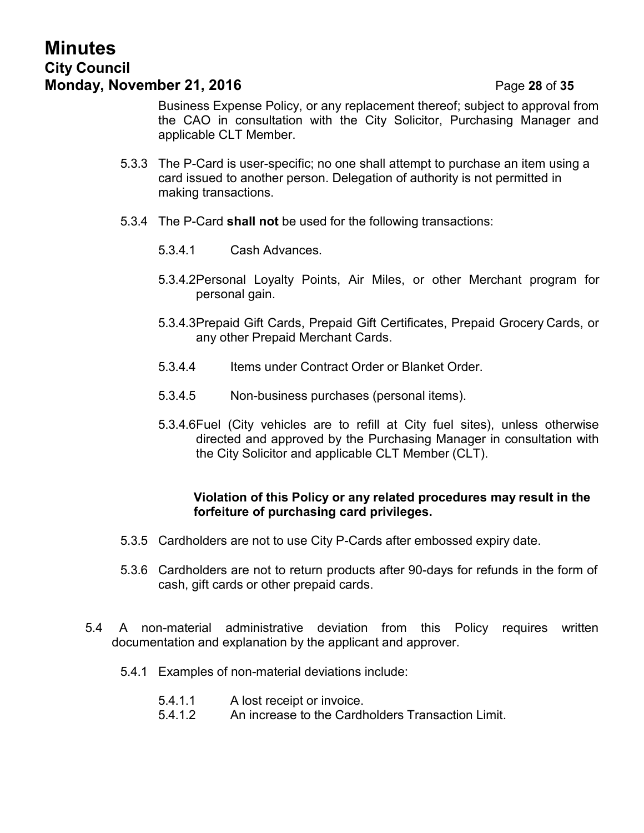# **Minutes City Council Monday, November 21, 2016 Page 28 of 35**

Business Expense Policy, or any replacement thereof; subject to approval from the CAO in consultation with the City Solicitor, Purchasing Manager and applicable CLT Member.

- 5.3.3 The P-Card is user-specific; no one shall attempt to purchase an item using a card issued to another person. Delegation of authority is not permitted in making transactions.
- 5.3.4 The P-Card **shall not** be used for the following transactions:
	- 5.3.4.1 Cash Advances.
	- 5.3.4.2Personal Loyalty Points, Air Miles, or other Merchant program for personal gain.
	- 5.3.4.3Prepaid Gift Cards, Prepaid Gift Certificates, Prepaid Grocery Cards, or any other Prepaid Merchant Cards.
	- 5.3.4.4 Items under Contract Order or Blanket Order.
	- 5.3.4.5 Non-business purchases (personal items).
	- 5.3.4.6Fuel (City vehicles are to refill at City fuel sites), unless otherwise directed and approved by the Purchasing Manager in consultation with the City Solicitor and applicable CLT Member (CLT).

# **Violation of this Policy or any related procedures may result in the forfeiture of purchasing card privileges.**

- 5.3.5 Cardholders are not to use City P-Cards after embossed expiry date.
- 5.3.6 Cardholders are not to return products after 90-days for refunds in the form of cash, gift cards or other prepaid cards.
- 5.4 A non-material administrative deviation from this Policy requires written documentation and explanation by the applicant and approver.
	- 5.4.1 Examples of non-material deviations include:
		- 5.4.1.1 A lost receipt or invoice.
		- 5.4.1.2 An increase to the Cardholders Transaction Limit.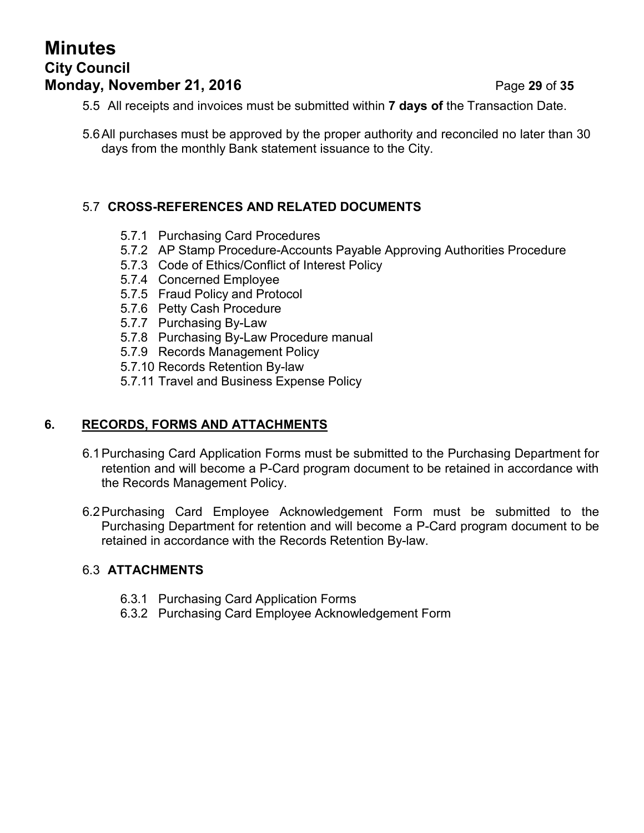# **Minutes City Council Monday, November 21, 2016 Page 29 of 35**

- 5.5 All receipts and invoices must be submitted within **7 days of** the Transaction Date.
- 5.6All purchases must be approved by the proper authority and reconciled no later than 30 days from the monthly Bank statement issuance to the City.

# 5.7 **CROSS-REFERENCES AND RELATED DOCUMENTS**

- 5.7.1 Purchasing Card Procedures
- 5.7.2 AP Stamp Procedure-Accounts Payable Approving Authorities Procedure
- 5.7.3 Code of Ethics/Conflict of Interest Policy
- 5.7.4 Concerned Employee
- 5.7.5 Fraud Policy and Protocol
- 5.7.6 Petty Cash Procedure
- 5.7.7 Purchasing By-Law
- 5.7.8 Purchasing By-Law Procedure manual
- 5.7.9 Records Management Policy
- 5.7.10 Records Retention By-law
- 5.7.11 Travel and Business Expense Policy

# **6. RECORDS, FORMS AND ATTACHMENTS**

- 6.1Purchasing Card Application Forms must be submitted to the Purchasing Department for retention and will become a P-Card program document to be retained in accordance with the Records Management Policy.
- 6.2Purchasing Card Employee Acknowledgement Form must be submitted to the Purchasing Department for retention and will become a P-Card program document to be retained in accordance with the Records Retention By-law.

# 6.3 **ATTACHMENTS**

- 6.3.1 Purchasing Card Application Forms
- 6.3.2 Purchasing Card Employee Acknowledgement Form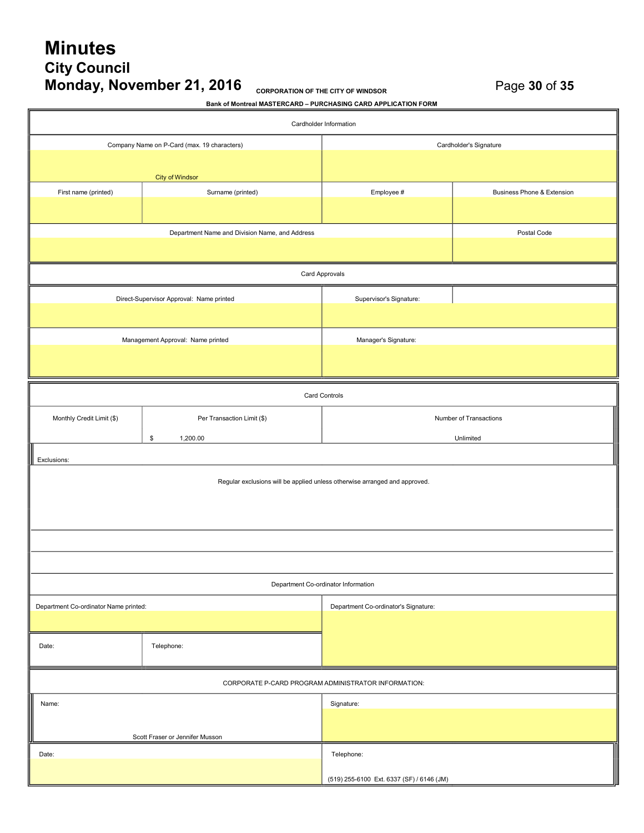# **Minutes City Council Monday, November 21, 2016 CORPORATION OF THE CITY OF WINDSOR CONGERVALLY** Page 30 of 35

h

| Cardholder Information                              |                                                |                                                                            |                                       |  |
|-----------------------------------------------------|------------------------------------------------|----------------------------------------------------------------------------|---------------------------------------|--|
|                                                     | Company Name on P-Card (max. 19 characters)    | Cardholder's Signature                                                     |                                       |  |
|                                                     |                                                |                                                                            |                                       |  |
|                                                     | <b>City of Windsor</b>                         |                                                                            |                                       |  |
| First name (printed)                                | Surname (printed)                              | Employee #                                                                 | <b>Business Phone &amp; Extension</b> |  |
|                                                     |                                                |                                                                            |                                       |  |
|                                                     | Department Name and Division Name, and Address |                                                                            | Postal Code                           |  |
|                                                     |                                                |                                                                            |                                       |  |
|                                                     |                                                | Card Approvals                                                             |                                       |  |
|                                                     | Direct-Supervisor Approval: Name printed       | Supervisor's Signature:                                                    |                                       |  |
|                                                     |                                                |                                                                            |                                       |  |
|                                                     |                                                |                                                                            |                                       |  |
|                                                     | Management Approval: Name printed              | Manager's Signature:                                                       |                                       |  |
|                                                     |                                                |                                                                            |                                       |  |
|                                                     |                                                |                                                                            |                                       |  |
| Card Controls                                       |                                                |                                                                            |                                       |  |
| Monthly Credit Limit (\$)                           | Per Transaction Limit (\$)                     | Number of Transactions                                                     |                                       |  |
|                                                     | \$<br>1,200.00                                 | Unlimited                                                                  |                                       |  |
| Exclusions:                                         |                                                |                                                                            |                                       |  |
|                                                     |                                                | Regular exclusions will be applied unless otherwise arranged and approved. |                                       |  |
|                                                     |                                                |                                                                            |                                       |  |
|                                                     |                                                |                                                                            |                                       |  |
|                                                     |                                                |                                                                            |                                       |  |
|                                                     |                                                |                                                                            |                                       |  |
|                                                     |                                                | Department Co-ordinator Information                                        |                                       |  |
| Department Co-ordinator Name printed:               |                                                | Department Co-ordinator's Signature:                                       |                                       |  |
|                                                     |                                                |                                                                            |                                       |  |
| Date:                                               | Telephone:                                     |                                                                            |                                       |  |
|                                                     |                                                |                                                                            |                                       |  |
| CORPORATE P-CARD PROGRAM ADMINISTRATOR INFORMATION: |                                                |                                                                            |                                       |  |
| Name:                                               |                                                | Signature:                                                                 |                                       |  |
|                                                     |                                                |                                                                            |                                       |  |
|                                                     | Scott Fraser or Jennifer Musson                |                                                                            |                                       |  |
| Date:                                               |                                                | Telephone:                                                                 |                                       |  |
|                                                     |                                                | (519) 255-6100 Ext. 6337 (SF) / 6146 (JM)                                  |                                       |  |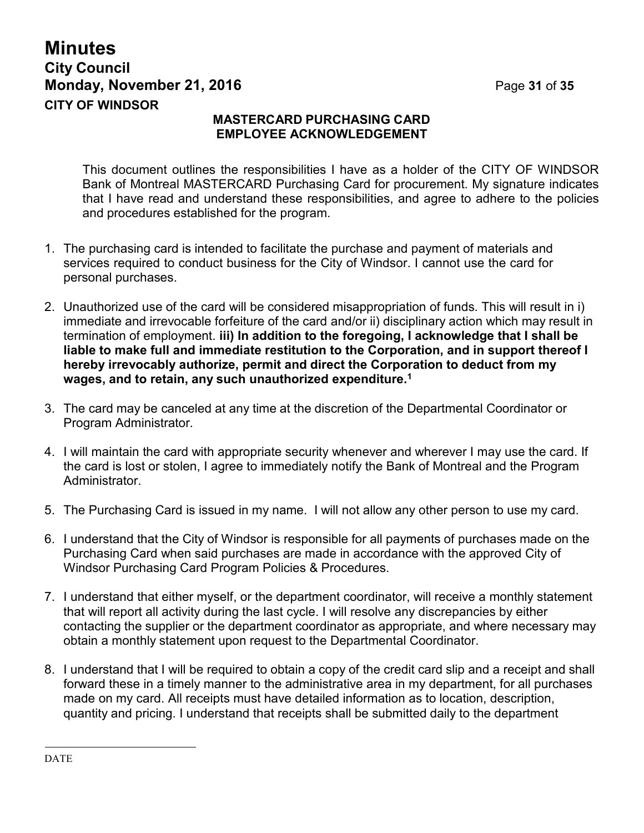# **Minutes City Council Monday, November 21, 2016 Page 31 of 35 CITY OF WINDSOR**

# **MASTERCARD PURCHASING CARD EMPLOYEE ACKNOWLEDGEMENT**

This document outlines the responsibilities I have as a holder of the CITY OF WINDSOR Bank of Montreal MASTERCARD Purchasing Card for procurement. My signature indicates that I have read and understand these responsibilities, and agree to adhere to the policies and procedures established for the program.

- 1. The purchasing card is intended to facilitate the purchase and payment of materials and services required to conduct business for the City of Windsor. I cannot use the card for personal purchases.
- 2. Unauthorized use of the card will be considered misappropriation of funds. This will result in i) immediate and irrevocable forfeiture of the card and/or ii) disciplinary action which may result in termination of employment. **iii) In addition to the foregoing, I acknowledge that I shall be liable to make full and immediate restitution to the Corporation, and in support thereof I hereby irrevocably authorize, permit and direct the Corporation to deduct from my wages, and to retain, any such unauthorized expenditure.<sup>1</sup>**
- 3. The card may be canceled at any time at the discretion of the Departmental Coordinator or Program Administrator.
- 4. I will maintain the card with appropriate security whenever and wherever I may use the card. If the card is lost or stolen, I agree to immediately notify the Bank of Montreal and the Program Administrator.
- 5. The Purchasing Card is issued in my name. I will not allow any other person to use my card.
- 6. I understand that the City of Windsor is responsible for all payments of purchases made on the Purchasing Card when said purchases are made in accordance with the approved City of Windsor Purchasing Card Program Policies & Procedures.
- 7. I understand that either myself, or the department coordinator, will receive a monthly statement that will report all activity during the last cycle. I will resolve any discrepancies by either contacting the supplier or the department coordinator as appropriate, and where necessary may obtain a monthly statement upon request to the Departmental Coordinator.
- 8. I understand that I will be required to obtain a copy of the credit card slip and a receipt and shall forward these in a timely manner to the administrative area in my department, for all purchases made on my card. All receipts must have detailed information as to location, description, quantity and pricing. I understand that receipts shall be submitted daily to the department

DATE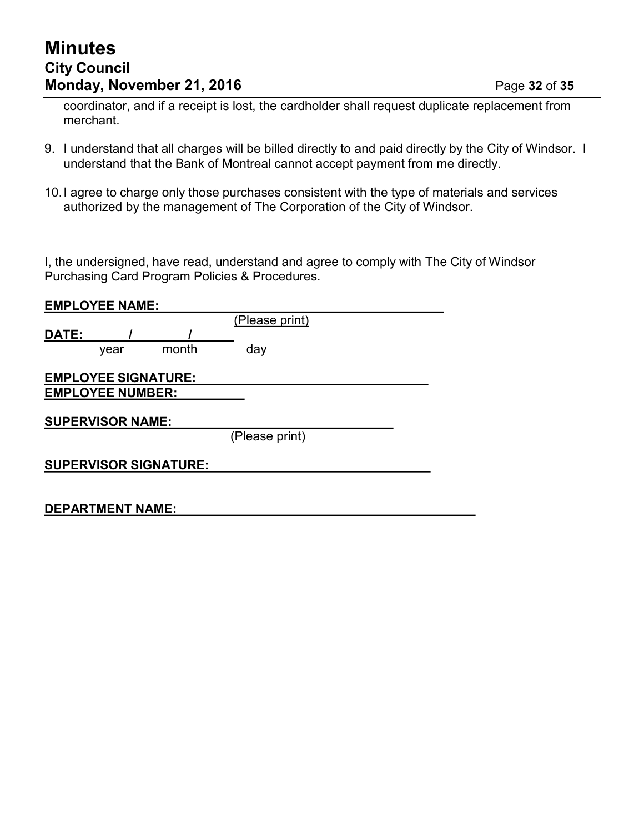# **Minutes City Council Monday, November 21, 2016 Page 32** of 35

coordinator, and if a receipt is lost, the cardholder shall request duplicate replacement from merchant.

- 9. I understand that all charges will be billed directly to and paid directly by the City of Windsor. I understand that the Bank of Montreal cannot accept payment from me directly.
- 10.I agree to charge only those purchases consistent with the type of materials and services authorized by the management of The Corporation of the City of Windsor.

I, the undersigned, have read, understand and agree to comply with The City of Windsor Purchasing Card Program Policies & Procedures.

|       | <b>EMPLOYEE NAME:</b>      |                              |                |  |
|-------|----------------------------|------------------------------|----------------|--|
|       |                            |                              | (Please print) |  |
| DATE: |                            |                              |                |  |
|       | year                       | month                        | day            |  |
|       | <b>EMPLOYEE SIGNATURE:</b> |                              |                |  |
|       | <b>EMPLOYEE NUMBER:</b>    |                              |                |  |
|       |                            |                              |                |  |
|       | <b>SUPERVISOR NAME:</b>    |                              |                |  |
|       |                            |                              | (Please print) |  |
|       |                            | <b>SUPERVISOR SIGNATURE:</b> |                |  |
|       |                            |                              |                |  |
|       | <b>DEPARTMENT NAME:</b>    |                              |                |  |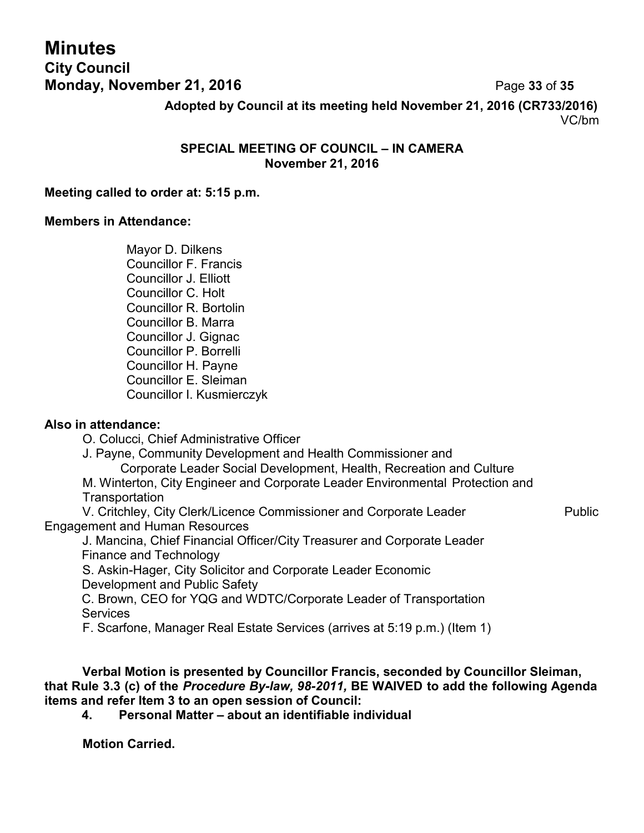# **Minutes City Council Monday, November 21, 2016 Page 33** of 35

**Adopted by Council at its meeting held November 21, 2016 (CR733/2016)** VC/bm

# **SPECIAL MEETING OF COUNCIL – IN CAMERA November 21, 2016**

### **Meeting called to order at: 5:15 p.m.**

# **Members in Attendance:**

Mayor D. Dilkens Councillor F. Francis Councillor J. Elliott Councillor C. Holt Councillor R. Bortolin Councillor B. Marra Councillor J. Gignac Councillor P. Borrelli Councillor H. Payne Councillor E. Sleiman Councillor I. Kusmierczyk

# **Also in attendance:**

O. Colucci, Chief Administrative Officer

J. Payne, Community Development and Health Commissioner and Corporate Leader Social Development, Health, Recreation and Culture

M. Winterton, City Engineer and Corporate Leader Environmental Protection and **Transportation** 

V. Critchley, City Clerk/Licence Commissioner and Corporate Leader Public Engagement and Human Resources

J. Mancina, Chief Financial Officer/City Treasurer and Corporate Leader Finance and Technology

S. Askin-Hager, City Solicitor and Corporate Leader Economic Development and Public Safety

C. Brown, CEO for YQG and WDTC/Corporate Leader of Transportation **Services** 

F. Scarfone, Manager Real Estate Services (arrives at 5:19 p.m.) (Item 1)

**Verbal Motion is presented by Councillor Francis, seconded by Councillor Sleiman, that Rule 3.3 (c) of the** *Procedure By-law, 98-2011,* **BE WAIVED to add the following Agenda items and refer Item 3 to an open session of Council:**

**4. Personal Matter – about an identifiable individual**

**Motion Carried.**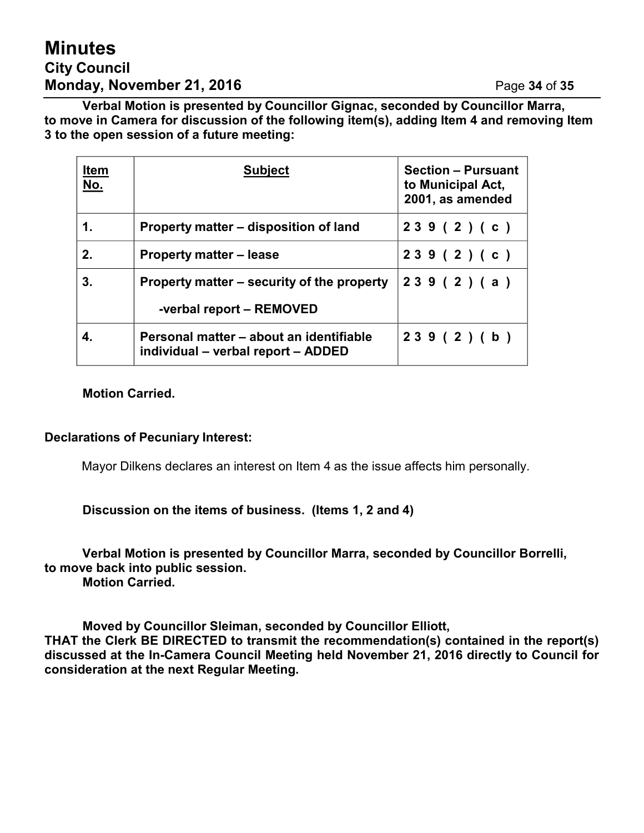# **Minutes City Council Monday, November 21, 2016 Page 34** of 35

**Verbal Motion is presented by Councillor Gignac, seconded by Councillor Marra, to move in Camera for discussion of the following item(s), adding Item 4 and removing Item 3 to the open session of a future meeting:**

| <u>Item</u><br><u>No.</u> | <b>Subject</b>                                                                | <b>Section - Pursuant</b><br>to Municipal Act,<br>2001, as amended |
|---------------------------|-------------------------------------------------------------------------------|--------------------------------------------------------------------|
| 1.                        | Property matter - disposition of land                                         | 239(2)(c)                                                          |
| 2.                        | <b>Property matter – lease</b>                                                | 239(2)(c)                                                          |
| 3.                        | Property matter – security of the property<br>-verbal report - REMOVED        | 239(2)(a)                                                          |
| 4.                        | Personal matter – about an identifiable<br>individual – verbal report – ADDED | 239(2)(b)                                                          |

# **Motion Carried.**

# **Declarations of Pecuniary Interest:**

Mayor Dilkens declares an interest on Item 4 as the issue affects him personally.

# **Discussion on the items of business. (Items 1, 2 and 4)**

**Verbal Motion is presented by Councillor Marra, seconded by Councillor Borrelli, to move back into public session. Motion Carried.**

**Moved by Councillor Sleiman, seconded by Councillor Elliott, THAT the Clerk BE DIRECTED to transmit the recommendation(s) contained in the report(s) discussed at the In-Camera Council Meeting held November 21, 2016 directly to Council for consideration at the next Regular Meeting.**